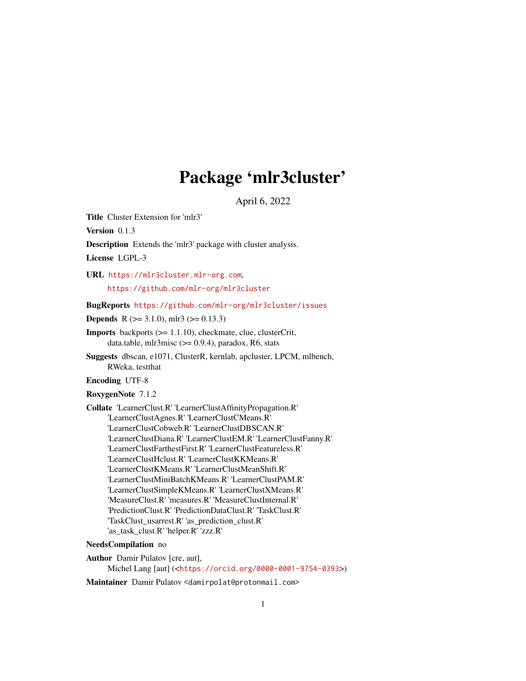# Package 'mlr3cluster'

April 6, 2022

<span id="page-0-0"></span>Title Cluster Extension for 'mlr3'

Version 0.1.3

Description Extends the 'mlr3' package with cluster analysis.

License LGPL-3

URL <https://mlr3cluster.mlr-org.com>,

<https://github.com/mlr-org/mlr3cluster>

BugReports <https://github.com/mlr-org/mlr3cluster/issues>

**Depends** R ( $>= 3.1.0$ ), mlr3 ( $>= 0.13.3$ )

Imports backports (>= 1.1.10), checkmate, clue, clusterCrit, data.table, mlr $3misc$  ( $> = 0.9.4$ ), paradox, R6, stats

Suggests dbscan, e1071, ClusterR, kernlab, apcluster, LPCM, mlbench, RWeka, testthat

Encoding UTF-8

RoxygenNote 7.1.2

Collate 'LearnerClust.R' 'LearnerClustAffinityPropagation.R' 'LearnerClustAgnes.R' 'LearnerClustCMeans.R' 'LearnerClustCobweb.R' 'LearnerClustDBSCAN.R' 'LearnerClustDiana.R' 'LearnerClustEM.R' 'LearnerClustFanny.R' 'LearnerClustFarthestFirst.R' 'LearnerClustFeatureless.R' 'LearnerClustHclust.R' 'LearnerClustKKMeans.R' 'LearnerClustKMeans.R' 'LearnerClustMeanShift.R' 'LearnerClustMiniBatchKMeans.R' 'LearnerClustPAM.R' 'LearnerClustSimpleKMeans.R' 'LearnerClustXMeans.R' 'MeasureClust.R' 'measures.R' 'MeasureClustInternal.R' 'PredictionClust.R' 'PredictionDataClust.R' 'TaskClust.R' 'TaskClust\_usarrest.R' 'as\_prediction\_clust.R' 'as\_task\_clust.R' 'helper.R' 'zzz.R'

#### NeedsCompilation no

Author Damir Pulatov [cre, aut], Michel Lang [aut] (<<https://orcid.org/0000-0001-9754-0393>>)

Maintainer Damir Pulatov <damirpolat@protonmail.com>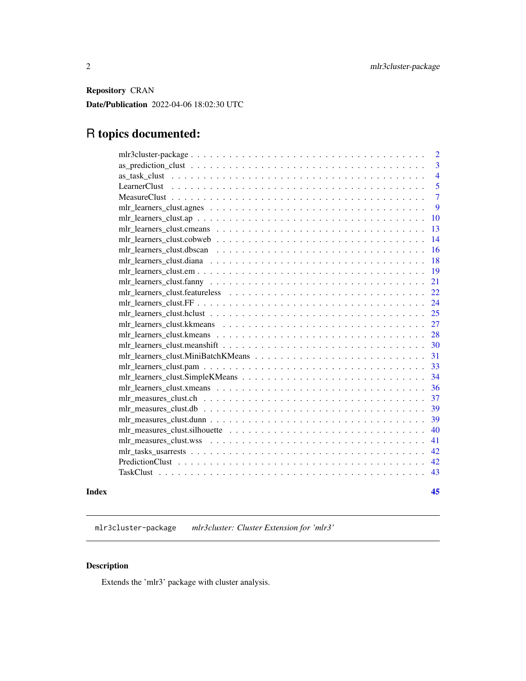<span id="page-1-0"></span>Repository CRAN

Date/Publication 2022-04-06 18:02:30 UTC

# R topics documented:

|       |                                                                                                                                                                                                                                                                                 | 2              |
|-------|---------------------------------------------------------------------------------------------------------------------------------------------------------------------------------------------------------------------------------------------------------------------------------|----------------|
|       |                                                                                                                                                                                                                                                                                 | 3              |
|       |                                                                                                                                                                                                                                                                                 | $\overline{4}$ |
|       |                                                                                                                                                                                                                                                                                 | 5              |
|       |                                                                                                                                                                                                                                                                                 | $\overline{7}$ |
|       |                                                                                                                                                                                                                                                                                 | 9              |
|       |                                                                                                                                                                                                                                                                                 | 10             |
|       |                                                                                                                                                                                                                                                                                 | 13             |
|       |                                                                                                                                                                                                                                                                                 | 14             |
|       |                                                                                                                                                                                                                                                                                 | 16             |
|       |                                                                                                                                                                                                                                                                                 | 18             |
|       |                                                                                                                                                                                                                                                                                 | 19             |
|       |                                                                                                                                                                                                                                                                                 | 21             |
|       |                                                                                                                                                                                                                                                                                 | 22             |
|       |                                                                                                                                                                                                                                                                                 | 24             |
|       |                                                                                                                                                                                                                                                                                 | 25             |
|       |                                                                                                                                                                                                                                                                                 | 27             |
|       | $mlr_l$ learners $_l$ clust. km eans $l_1, l_2, l_3, l_4, l_5, l_6, l_7, l_8, l_9, l_1, l_1, l_2, l_3, l_4, l_5, l_6, l_7, l_8, l_9, l_1, l_1, l_2, l_3, l_4, l_7, l_8, l_9, l_1, l_1, l_2, l_3, l_1, l_2, l_3, l_4, l_5, l_6, l_7, l_8, l_9, l_1, l_2, l_3, l_1, l_2, l_3, l_$ | 28             |
|       |                                                                                                                                                                                                                                                                                 | 30             |
|       |                                                                                                                                                                                                                                                                                 | 31             |
|       |                                                                                                                                                                                                                                                                                 | 33             |
|       |                                                                                                                                                                                                                                                                                 | 34             |
|       |                                                                                                                                                                                                                                                                                 | 36             |
|       |                                                                                                                                                                                                                                                                                 | 37             |
|       |                                                                                                                                                                                                                                                                                 | 39             |
|       |                                                                                                                                                                                                                                                                                 | 39             |
|       |                                                                                                                                                                                                                                                                                 | 40             |
|       |                                                                                                                                                                                                                                                                                 | 41             |
|       |                                                                                                                                                                                                                                                                                 | 42             |
|       |                                                                                                                                                                                                                                                                                 | 42             |
|       |                                                                                                                                                                                                                                                                                 | 43             |
| Index |                                                                                                                                                                                                                                                                                 | 45             |

mlr3cluster-package *mlr3cluster: Cluster Extension for 'mlr3'*

# Description

Extends the 'mlr3' package with cluster analysis.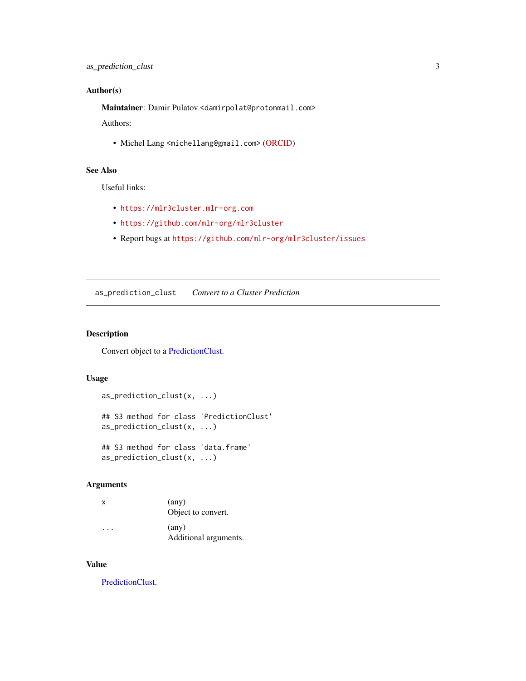# <span id="page-2-0"></span>Author(s)

Maintainer: Damir Pulatov <damirpolat@protonmail.com>

Authors:

• Michel Lang <michellang@gmail.com> [\(ORCID\)](https://orcid.org/0000-0001-9754-0393)

# See Also

Useful links:

- <https://mlr3cluster.mlr-org.com>
- <https://github.com/mlr-org/mlr3cluster>
- Report bugs at <https://github.com/mlr-org/mlr3cluster/issues>

as\_prediction\_clust *Convert to a Cluster Prediction*

# Description

Convert object to a [PredictionClust.](#page-41-1)

# Usage

```
as_prediction_clust(x, ...)
## S3 method for class 'PredictionClust'
as_prediction_clust(x, ...)
```
## S3 method for class 'data.frame' as\_prediction\_clust(x, ...)

# Arguments

| x | $(\text{any})$<br>Object to convert.    |
|---|-----------------------------------------|
| . | $(\text{any})$<br>Additional arguments. |

#### Value

[PredictionClust.](#page-41-1)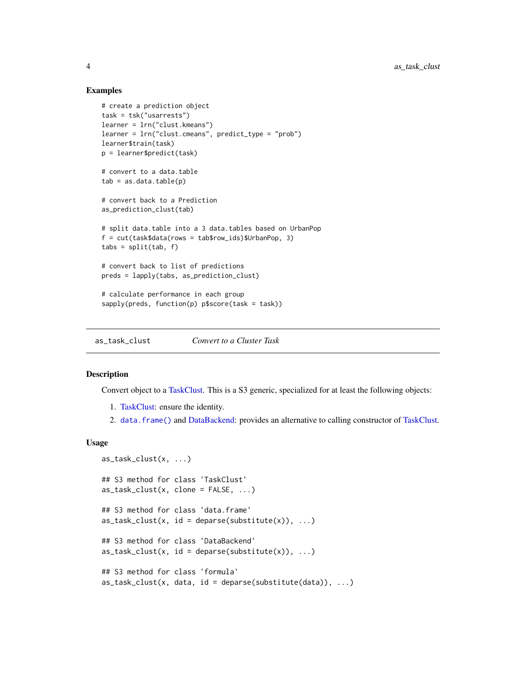#### Examples

```
# create a prediction object
task = tsk("usarrests")
learner = lrn("clust.kmeans")
learner = lrn("clust.cmeans", predict_type = "prob")
learner$train(task)
p = learner$predict(task)
# convert to a data.table
tab = as.data_table(p)# convert back to a Prediction
as_prediction_clust(tab)
# split data.table into a 3 data.tables based on UrbanPop
f = cut(task$data(row = tab$row\_ids)$$UrbanPop, 3)tabs = split(tab, f)# convert back to list of predictions
preds = lapply(tabs, as_prediction_clust)
# calculate performance in each group
sapply(preds, function(p) p$score(task = task))
```
as\_task\_clust *Convert to a Cluster Task*

#### Description

Convert object to a [TaskClust.](#page-42-1) This is a S3 generic, specialized for at least the following objects:

- 1. [TaskClust:](#page-42-1) ensure the identity.
- 2. [data.frame\(\)](#page-0-0) and [DataBackend:](#page-0-0) provides an alternative to calling constructor of [TaskClust.](#page-42-1)

#### Usage

```
as\_task\_clust(x, \ldots)## S3 method for class 'TaskClust'
as\_task\_clust(x, clone = FALSE, ...)## S3 method for class 'data.frame'
as\_task\_clust(x, id = deparse(substitute(x)), ...)## S3 method for class 'DataBackend'
as\_task\_clust(x, id = deparse(substitute(x)), ...)## S3 method for class 'formula'
as\_task\_clust(x, data, id = deparse(substitute(data)), ...)
```
<span id="page-3-0"></span>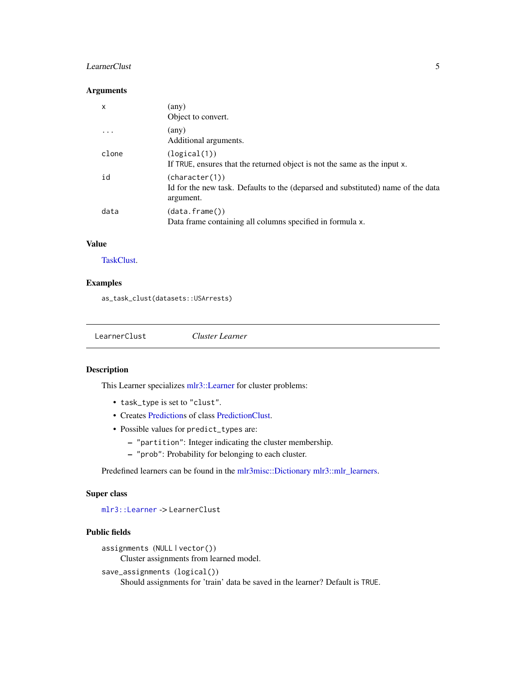#### <span id="page-4-0"></span>LearnerClust 5

#### Arguments

| $\mathsf{x}$ | (any)<br>Object to convert.                                                                                     |
|--------------|-----------------------------------------------------------------------------------------------------------------|
| .            | (any)<br>Additional arguments.                                                                                  |
| clone        | (logical(1))<br>If TRUE, ensures that the returned object is not the same as the input x.                       |
| id           | (character(1))<br>Id for the new task. Defaults to the (deparsed and substituted) name of the data<br>argument. |
| data         | (data frame())<br>Data frame containing all columns specified in formula x.                                     |

# Value

[TaskClust.](#page-42-1)

# Examples

as\_task\_clust(datasets::USArrests)

<span id="page-4-1"></span>LearnerClust *Cluster Learner*

# Description

This Learner specializes [mlr3::Learner](#page-0-0) for cluster problems:

- task\_type is set to "clust".
- Creates [Predictions](#page-0-0) of class [PredictionClust.](#page-41-1)
- Possible values for predict\_types are:
	- "partition": Integer indicating the cluster membership.
	- "prob": Probability for belonging to each cluster.

Predefined learners can be found in the [mlr3misc::Dictionary](#page-0-0) [mlr3::mlr\\_learners.](#page-0-0)

# Super class

[mlr3::Learner](#page-0-0) -> LearnerClust

# Public fields

```
assignments (NULL | vector())
    Cluster assignments from learned model.
save_assignments (logical())
     Should assignments for 'train' data be saved in the learner? Default is TRUE.
```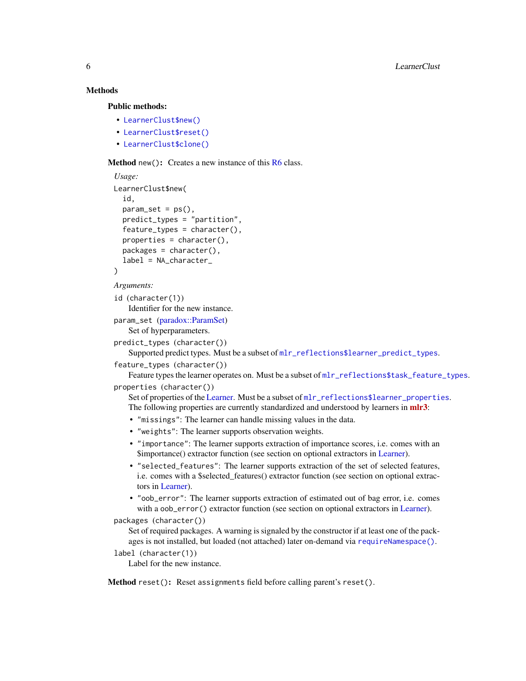# <span id="page-5-2"></span>**Methods**

Public methods:

- [LearnerClust\\$new\(\)](#page-5-0)
- [LearnerClust\\$reset\(\)](#page-5-1)
- [LearnerClust\\$clone\(\)](#page-6-1)

<span id="page-5-0"></span>**Method** new(): Creates a new instance of this  $R6$  class.

```
Usage:
LearnerClust$new(
  id,
  param_set = ps(),predict_types = "partition",
  feature_types = character(),properties = character(),
 packages = character(),
  label = NA_character_
)
```

```
Arguments:
```
id (character(1)) Identifier for the new instance.

```
param_set (paradox::ParamSet)
   Set of hyperparameters.
```
predict\_types (character())

Supported predict types. Must be a subset of [mlr\\_reflections\\$learner\\_predict\\_types](#page-0-0).

```
feature_types (character())
```
Feature types the learner operates on. Must be a subset of  $mlr_reflections$task_feature_typess.$  $mlr_reflections$task_feature_typess.$ properties (character())

Set of properties of the [Learner.](#page-0-0) Must be a subset of  $m1r_reflections$1earner_properties.$ The following properties are currently standardized and understood by learners in [mlr3](https://CRAN.R-project.org/package=mlr3):

- "missings": The learner can handle missing values in the data.
- "weights": The learner supports observation weights.
- "importance": The learner supports extraction of importance scores, i.e. comes with an \$importance() extractor function (see section on optional extractors in [Learner\)](#page-0-0).
- "selected\_features": The learner supports extraction of the set of selected features, i.e. comes with a \$selected\_features() extractor function (see section on optional extractors in [Learner\)](#page-0-0).
- "oob\_error": The learner supports extraction of estimated out of bag error, i.e. comes with a oob\_error() extractor function (see section on optional extractors in [Learner\)](#page-0-0).

```
packages (character())
```
Set of required packages. A warning is signaled by the constructor if at least one of the packages is not installed, but loaded (not attached) later on-demand via [requireNamespace\(\)](#page-0-0).

```
label (character(1))
```
Label for the new instance.

<span id="page-5-1"></span>Method reset(): Reset assignments field before calling parent's reset().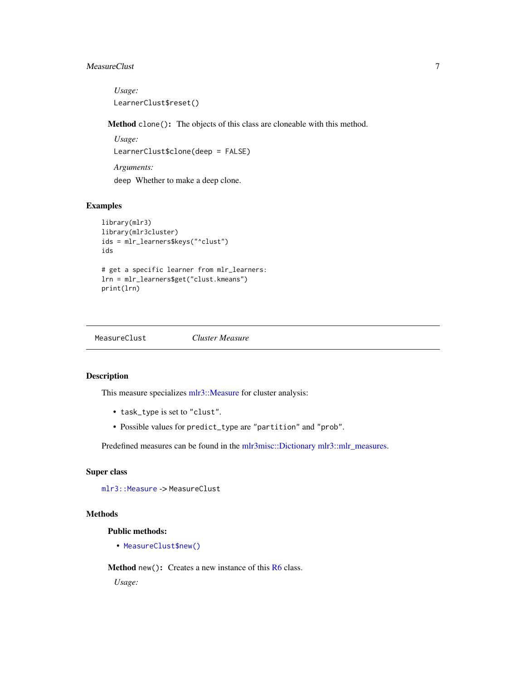# <span id="page-6-0"></span>MeasureClust 7

*Usage:* LearnerClust\$reset()

<span id="page-6-1"></span>Method clone(): The objects of this class are cloneable with this method.

*Usage:* LearnerClust\$clone(deep = FALSE) *Arguments:* deep Whether to make a deep clone.

#### Examples

```
library(mlr3)
library(mlr3cluster)
ids = mlr_learners$keys("^clust")
ids
# get a specific learner from mlr_learners:
lrn = mlr_learners$get("clust.kmeans")
print(lrn)
```
<span id="page-6-2"></span>MeasureClust *Cluster Measure*

# Description

This measure specializes [mlr3::Measure](#page-0-0) for cluster analysis:

- task\_type is set to "clust".
- Possible values for predict\_type are "partition" and "prob".

Predefined measures can be found in the [mlr3misc::Dictionary](#page-0-0) [mlr3::mlr\\_measures.](#page-0-0)

#### Super class

[mlr3::Measure](#page-0-0) -> MeasureClust

#### Methods

Public methods:

• [MeasureClust\\$new\(\)](#page-5-0)

Method new(): Creates a new instance of this [R6](#page-0-0) class.

*Usage:*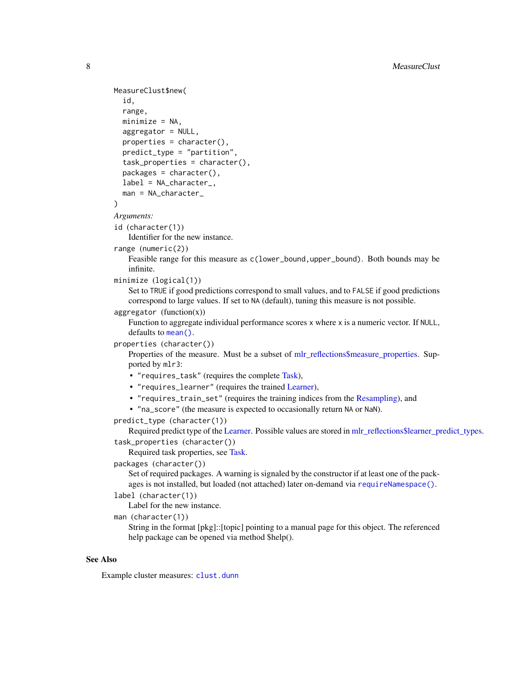```
MeasureClust$new(
  id,
  range,
  minimize = NA,
  aggregator = NULL,
  properties = character(),
  predict_type = "partition",
  task_properties = character(),
  packages = character(),
  label = NA_character_,
  man = NA_character_
)
Arguments:
id (character(1))
   Identifier for the new instance.
range (numeric(2))
   Feasible range for this measure as c(lower_bound,upper_bound). Both bounds may be
   infinite.
minimize (logical(1))
   Set to TRUE if good predictions correspond to small values, and to FALSE if good predictions
   correspond to large values. If set to NA (default), tuning this measure is not possible.
aggregation (function(x))Function to aggregate individual performance scores x where x is a numeric vector. If NULL,
   mean().
properties (character())
   Properties of the measure. Must be a subset of mlr_reflections$measure_properties. Sup-
   ported by mlr3:
    • "requires_task" (requires the complete Task),
    • "requires_learner" (requires the trained Learner),
    • "requires_train_set" (requires the training indices from the Resampling), and
    • "na_score" (the measure is expected to occasionally return NA or NaN).
predict_type (character(1))
   Learner.mlr_reflections$learner_predict_types.
task_properties (character())
   Required task properties, see Task.
packages (character())
   Set of required packages. A warning is signaled by the constructor if at least one of the pack-
   requireNamespace().
label (character(1))
   Label for the new instance.
man (character(1))
   String in the format [pkg]::[topic] pointing to a manual page for this object. The referenced
```
help package can be opened via method \$help().

#### See Also

Example cluster measures: [clust.dunn](#page-38-1)

<span id="page-7-0"></span>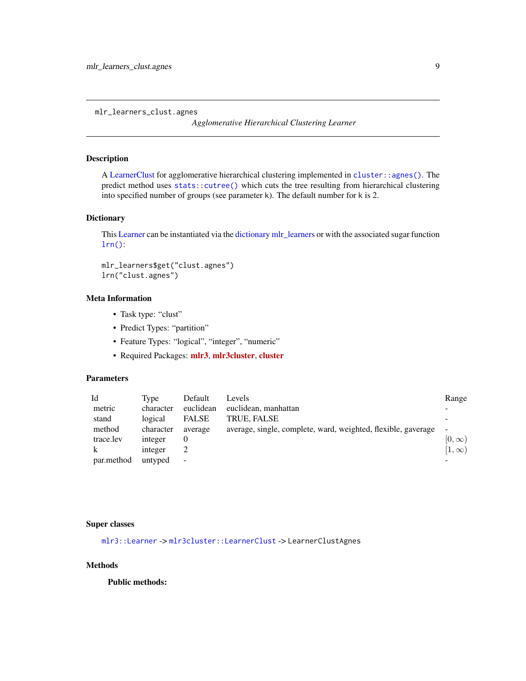<span id="page-8-0"></span>mlr\_learners\_clust.agnes

*Agglomerative Hierarchical Clustering Learner*

#### Description

A [LearnerClust](#page-4-1) for agglomerative hierarchical clustering implemented in [cluster::agnes\(\)](#page-0-0). The predict method uses [stats::cutree\(\)](#page-0-0) which cuts the tree resulting from hierarchical clustering into specified number of groups (see parameter k). The default number for k is 2.

# **Dictionary**

This [Learner](#page-0-0) can be instantiated via the [dictionary](#page-0-0) [mlr\\_learners](#page-0-0) or with the associated sugar function [lrn\(\)](#page-0-0):

mlr\_learners\$get("clust.agnes") lrn("clust.agnes")

# Meta Information

- Task type: "clust"
- Predict Types: "partition"
- Feature Types: "logical", "integer", "numeric"
- Required Packages: [mlr3](https://CRAN.R-project.org/package=mlr3), [mlr3cluster](https://CRAN.R-project.org/package=mlr3cluster), [cluster](https://CRAN.R-project.org/package=cluster)

# Parameters

| Id         | Tvpe      | Default      | Levels                                                        | Range        |
|------------|-----------|--------------|---------------------------------------------------------------|--------------|
| metric     | character | euclidean    | euclidean, manhattan                                          | -            |
| stand      | logical   | <b>FALSE</b> | TRUE, FALSE                                                   |              |
| method     | character | average      | average, single, complete, ward, weighted, flexible, gaverage | $\sim$       |
| trace.lev  | integer   |              |                                                               | $[0,\infty)$ |
|            | integer   |              |                                                               | $[1,\infty)$ |
| par.method | untyped   | $\sim$       |                                                               | -            |

#### Super classes

[mlr3::Learner](#page-0-0) -> [mlr3cluster::LearnerClust](#page-0-0) -> LearnerClustAgnes

#### Methods

Public methods: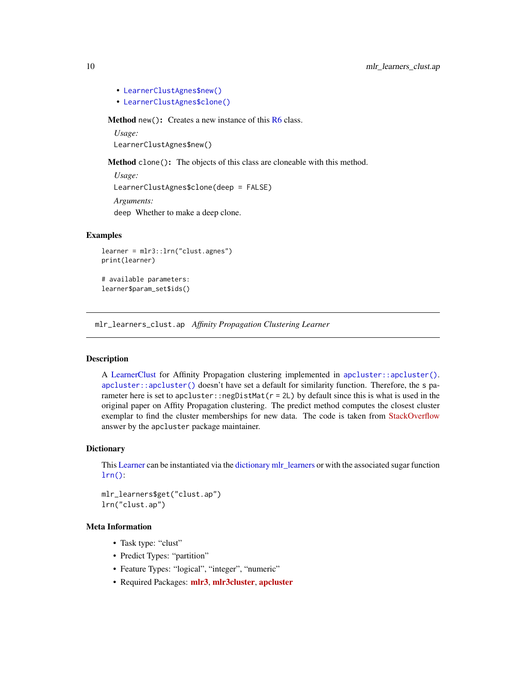- [LearnerClustAgnes\\$new\(\)](#page-5-0)
- [LearnerClustAgnes\\$clone\(\)](#page-6-1)

Method new(): Creates a new instance of this [R6](#page-0-0) class.

*Usage:* LearnerClustAgnes\$new()

Method clone(): The objects of this class are cloneable with this method.

*Usage:* LearnerClustAgnes\$clone(deep = FALSE) *Arguments:* deep Whether to make a deep clone.

#### Examples

```
learner = mlr3::lrn("clust.agnes")
print(learner)
```
# available parameters: learner\$param\_set\$ids()

mlr\_learners\_clust.ap *Affinity Propagation Clustering Learner*

# Description

A [LearnerClust](#page-4-1) for Affinity Propagation clustering implemented in [apcluster::apcluster\(\)](#page-0-0). [apcluster::apcluster\(\)](#page-0-0) doesn't have set a default for similarity function. Therefore, the s parameter here is set to apcluster::negDistMat(r = 2L) by default since this is what is used in the original paper on Affity Propagation clustering. The predict method computes the closest cluster exemplar to find the cluster memberships for new data. The code is taken from [StackOverflow](https://stackoverflow.com/questions/34932692/using-the-apcluster-package-in-r-it-is-possible-to-score-unclustered-data-poi) answer by the apcluster package maintainer.

#### **Dictionary**

This [Learner](#page-0-0) can be instantiated via the [dictionary](#page-0-0) [mlr\\_learners](#page-0-0) or with the associated sugar function  $lrn()$ :

```
mlr_learners$get("clust.ap")
lrn("clust.ap")
```
#### Meta Information

- Task type: "clust"
- Predict Types: "partition"
- Feature Types: "logical", "integer", "numeric"
- Required Packages: [mlr3](https://CRAN.R-project.org/package=mlr3), [mlr3cluster](https://CRAN.R-project.org/package=mlr3cluster), [apcluster](https://CRAN.R-project.org/package=apcluster)

<span id="page-9-0"></span>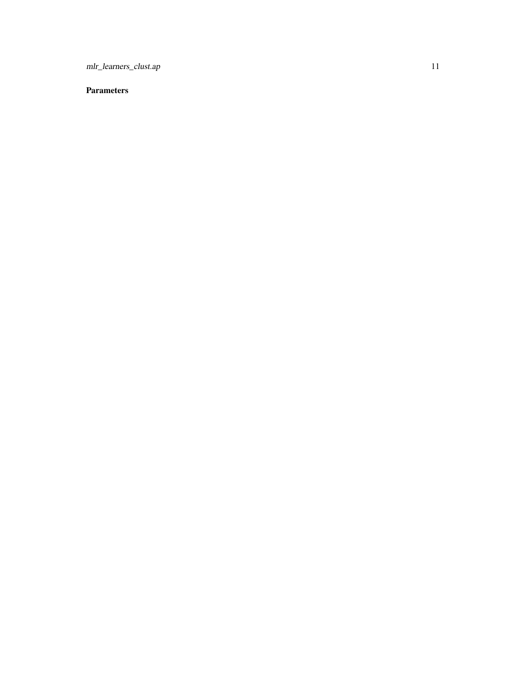mlr\_learners\_clust.ap 11

# Parameters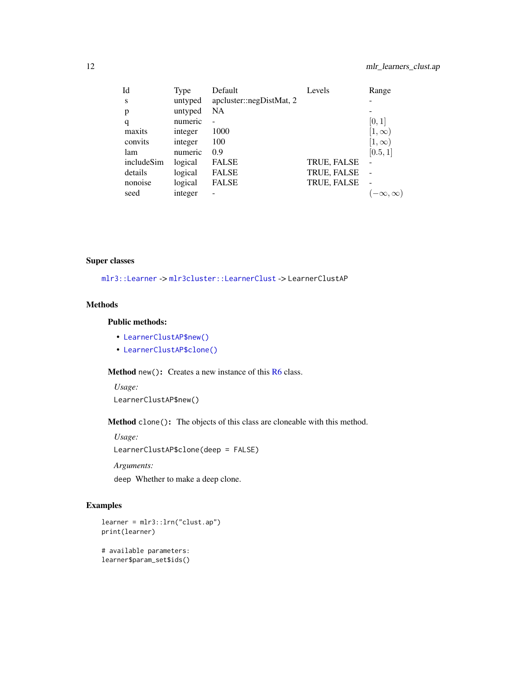<span id="page-11-0"></span>

| Id         | Type    | Default                  | Levels             | Range                    |
|------------|---------|--------------------------|--------------------|--------------------------|
| S          | untyped | apcluster::negDistMat, 2 |                    |                          |
| p          | untyped | NA                       |                    |                          |
| q          | numeric |                          |                    | [0, 1]                   |
| maxits     | integer | 1000                     |                    | $[1,\infty]$             |
| convits    | integer | 100                      |                    | $[1,\infty)$             |
| lam        | numeric | 0.9                      |                    | [0.5, 1]                 |
| includeSim | logical | <b>FALSE</b>             | TRUE, FALSE        |                          |
| details    | logical | <b>FALSE</b>             | <b>TRUE, FALSE</b> |                          |
| nonoise    | logical | <b>FALSE</b>             | TRUE, FALSE        | $\overline{\phantom{0}}$ |
| seed       | integer |                          |                    |                          |

# Super classes

[mlr3::Learner](#page-0-0) -> [mlr3cluster::LearnerClust](#page-0-0) -> LearnerClustAP

# Methods

# Public methods:

- [LearnerClustAP\\$new\(\)](#page-5-0)
- [LearnerClustAP\\$clone\(\)](#page-6-1)

Method new(): Creates a new instance of this [R6](#page-0-0) class.

*Usage:*

LearnerClustAP\$new()

Method clone(): The objects of this class are cloneable with this method.

*Usage:*

LearnerClustAP\$clone(deep = FALSE)

*Arguments:*

deep Whether to make a deep clone.

# Examples

```
learner = mlr3::lrn("clust.ap")
print(learner)
# available parameters:
learner$param_set$ids()
```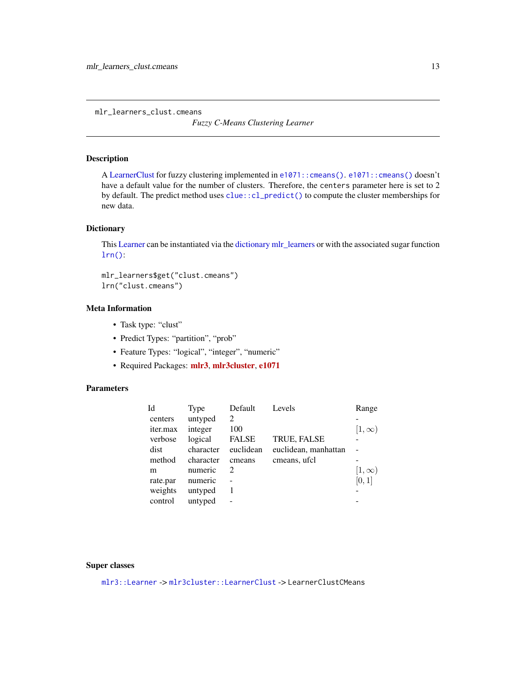<span id="page-12-0"></span>mlr\_learners\_clust.cmeans

*Fuzzy C-Means Clustering Learner*

# Description

A [LearnerClust](#page-4-1) for fuzzy clustering implemented in [e1071::cmeans\(\)](#page-0-0). [e1071::cmeans\(\)](#page-0-0) doesn't have a default value for the number of clusters. Therefore, the centers parameter here is set to 2 by default. The predict method uses [clue::cl\\_predict\(\)](#page-0-0) to compute the cluster memberships for new data.

#### **Dictionary**

This [Learner](#page-0-0) can be instantiated via the [dictionary](#page-0-0) [mlr\\_learners](#page-0-0) or with the associated sugar function [lrn\(\)](#page-0-0):

```
mlr_learners$get("clust.cmeans")
lrn("clust.cmeans")
```
# Meta Information

- Task type: "clust"
- Predict Types: "partition", "prob"
- Feature Types: "logical", "integer", "numeric"
- Required Packages: [mlr3](https://CRAN.R-project.org/package=mlr3), [mlr3cluster](https://CRAN.R-project.org/package=mlr3cluster), [e1071](https://CRAN.R-project.org/package=e1071)

# Parameters

| Id              | Type      | Default                     | Levels               | Range        |
|-----------------|-----------|-----------------------------|----------------------|--------------|
| centers         | untyped   | $\mathcal{D}$               |                      |              |
| <i>iter.max</i> | integer   | 100                         |                      | $[1,\infty)$ |
| verbose         | logical   | <b>FALSE</b>                | TRUE, FALSE          |              |
| dist            | character | euclidean                   | euclidean, manhattan |              |
| method          | character | cmeans                      | cmeans, ufcl.        |              |
| m               | numeric   | $\mathcal{D}_{\mathcal{L}}$ |                      | $[1,\infty)$ |
| rate.par        | numeric   |                             |                      | [0, 1]       |
| weights         | untyped   |                             |                      |              |
| control         | untyped   |                             |                      |              |
|                 |           |                             |                      |              |

#### Super classes

[mlr3::Learner](#page-0-0) -> [mlr3cluster::LearnerClust](#page-0-0) -> LearnerClustCMeans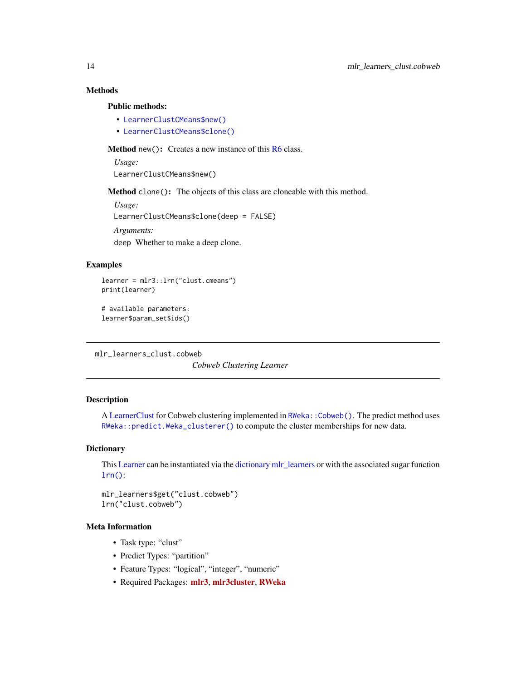# Methods

#### Public methods:

- [LearnerClustCMeans\\$new\(\)](#page-5-0)
- [LearnerClustCMeans\\$clone\(\)](#page-6-1)

**Method** new( $)$ : Creates a new instance of this  $R6$  class.

*Usage:*

LearnerClustCMeans\$new()

Method clone(): The objects of this class are cloneable with this method.

*Usage:* LearnerClustCMeans\$clone(deep = FALSE) *Arguments:* deep Whether to make a deep clone.

# Examples

```
learner = mlr3::lrn("clust.cmeans")
print(learner)
```
# available parameters: learner\$param\_set\$ids()

mlr\_learners\_clust.cobweb

*Cobweb Clustering Learner*

#### Description

A [LearnerClust](#page-4-1) for Cobweb clustering implemented in RWeka:: Cobweb(). The predict method uses [RWeka::predict.Weka\\_clusterer\(\)](#page-0-0) to compute the cluster memberships for new data.

#### **Dictionary**

This [Learner](#page-0-0) can be instantiated via the [dictionary](#page-0-0) [mlr\\_learners](#page-0-0) or with the associated sugar function [lrn\(\)](#page-0-0):

mlr\_learners\$get("clust.cobweb") lrn("clust.cobweb")

# Meta Information

- Task type: "clust"
- Predict Types: "partition"
- Feature Types: "logical", "integer", "numeric"
- Required Packages: [mlr3](https://CRAN.R-project.org/package=mlr3), [mlr3cluster](https://CRAN.R-project.org/package=mlr3cluster), [RWeka](https://CRAN.R-project.org/package=RWeka)

<span id="page-13-0"></span>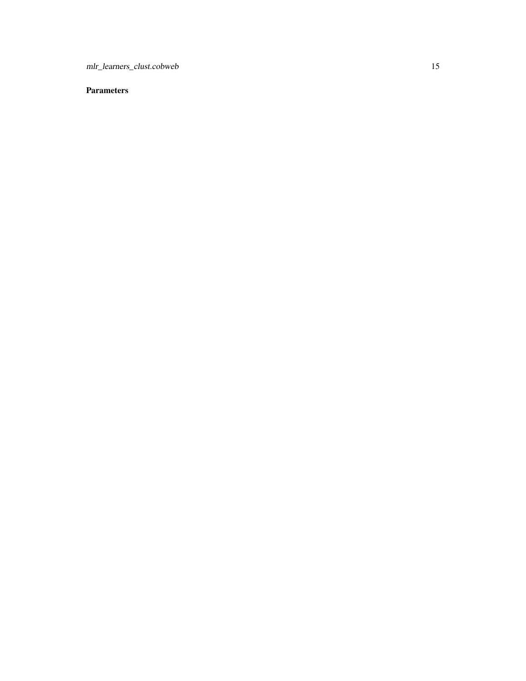mlr\_learners\_clust.cobweb 15

# **Parameters**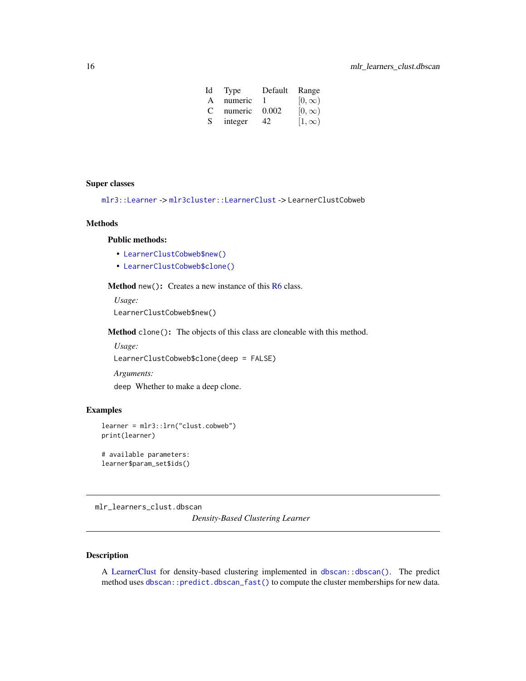| Id            | Type    | Default | Range        |
|---------------|---------|---------|--------------|
| A             | numeric |         | $[0,\infty)$ |
| $\mathcal{C}$ | numeric | 0.002   | $[0,\infty)$ |
| S.            | integer | 42.     | $[1,\infty)$ |

#### <span id="page-15-0"></span>Super classes

```
mlr3::Learner -> mlr3cluster::LearnerClust -> LearnerClustCobweb
```
# Methods

#### Public methods:

- [LearnerClustCobweb\\$new\(\)](#page-5-0)
- [LearnerClustCobweb\\$clone\(\)](#page-6-1)

Method new(): Creates a new instance of this [R6](#page-0-0) class.

*Usage:* LearnerClustCobweb\$new()

Method clone(): The objects of this class are cloneable with this method.

*Usage:*

LearnerClustCobweb\$clone(deep = FALSE)

*Arguments:*

deep Whether to make a deep clone.

# Examples

```
learner = mlr3::lrn("clust.cobweb")
print(learner)
```
# available parameters: learner\$param\_set\$ids()

mlr\_learners\_clust.dbscan

*Density-Based Clustering Learner*

#### Description

A [LearnerClust](#page-4-1) for density-based clustering implemented in [dbscan::dbscan\(\)](#page-0-0). The predict method uses [dbscan::predict.dbscan\\_fast\(\)](#page-0-0) to compute the cluster memberships for new data.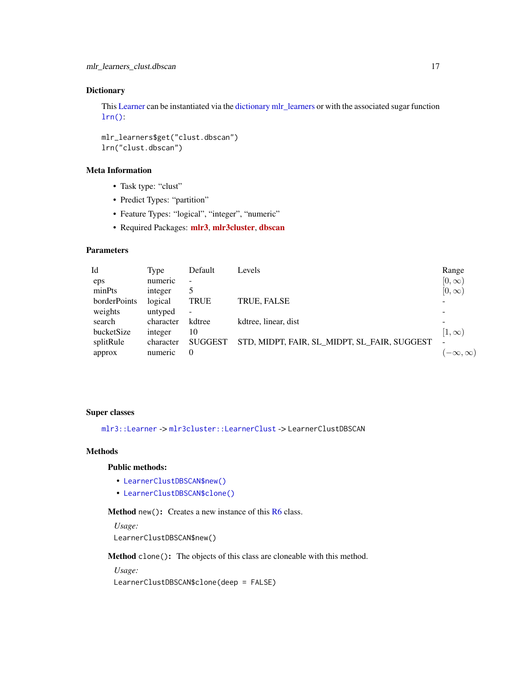#### <span id="page-16-0"></span>**Dictionary**

This [Learner](#page-0-0) can be instantiated via the [dictionary](#page-0-0) [mlr\\_learners](#page-0-0) or with the associated sugar function  $lrn()$ :

mlr\_learners\$get("clust.dbscan") lrn("clust.dbscan")

# Meta Information

- Task type: "clust"
- Predict Types: "partition"
- Feature Types: "logical", "integer", "numeric"
- Required Packages: [mlr3](https://CRAN.R-project.org/package=mlr3), [mlr3cluster](https://CRAN.R-project.org/package=mlr3cluster), [dbscan](https://CRAN.R-project.org/package=dbscan)

# Parameters

| Id           | Type      | Default        | Levels                                       | Range                    |
|--------------|-----------|----------------|----------------------------------------------|--------------------------|
| eps          | numeric   |                |                                              | $[0,\infty)$             |
| minPts       | integer   |                |                                              | $[0,\infty)$             |
| borderPoints | logical   | <b>TRUE</b>    | TRUE, FALSE                                  | $\overline{\phantom{0}}$ |
| weights      | untyped   |                |                                              | $\overline{\phantom{0}}$ |
| search       | character | kdtree         | kdtree, linear, dist                         | $\overline{\phantom{0}}$ |
| bucketSize   | integer   | 10             |                                              | $[1,\infty]$             |
| splitRule    | character | <b>SUGGEST</b> | STD, MIDPT, FAIR, SL_MIDPT, SL_FAIR, SUGGEST |                          |
| approx       | numeric   | $\Omega$       |                                              | $-\infty, \infty)$       |

# Super classes

[mlr3::Learner](#page-0-0) -> [mlr3cluster::LearnerClust](#page-0-0) -> LearnerClustDBSCAN

# Methods

# Public methods:

- [LearnerClustDBSCAN\\$new\(\)](#page-5-0)
- [LearnerClustDBSCAN\\$clone\(\)](#page-6-1)

Method new(): Creates a new instance of this [R6](#page-0-0) class.

*Usage:* LearnerClustDBSCAN\$new()

Method clone(): The objects of this class are cloneable with this method.

*Usage:*

LearnerClustDBSCAN\$clone(deep = FALSE)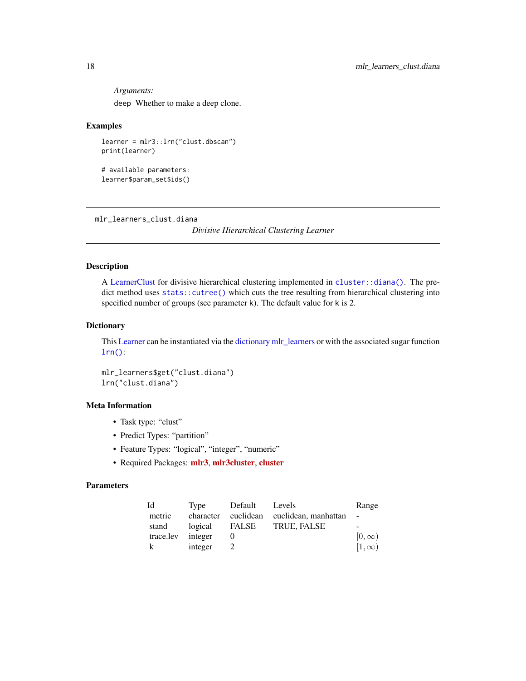<span id="page-17-0"></span>*Arguments:* deep Whether to make a deep clone.

#### Examples

```
learner = mlr3::lrn("clust.dbscan")
print(learner)
```
# available parameters: learner\$param\_set\$ids()

mlr\_learners\_clust.diana

*Divisive Hierarchical Clustering Learner*

#### Description

A [LearnerClust](#page-4-1) for divisive hierarchical clustering implemented in [cluster::diana\(\)](#page-0-0). The predict method uses [stats::cutree\(\)](#page-0-0) which cuts the tree resulting from hierarchical clustering into specified number of groups (see parameter k). The default value for k is 2.

# **Dictionary**

This [Learner](#page-0-0) can be instantiated via the [dictionary](#page-0-0) [mlr\\_learners](#page-0-0) or with the associated sugar function  $lrn()$ :

mlr\_learners\$get("clust.diana") lrn("clust.diana")

# Meta Information

- Task type: "clust"
- Predict Types: "partition"
- Feature Types: "logical", "integer", "numeric"
- Required Packages: [mlr3](https://CRAN.R-project.org/package=mlr3), [mlr3cluster](https://CRAN.R-project.org/package=mlr3cluster), [cluster](https://CRAN.R-project.org/package=cluster)

#### Parameters

| Id        | Type      | Default | Levels                         | Range                    |
|-----------|-----------|---------|--------------------------------|--------------------------|
| metric    | character |         | euclidean euclidean, manhattan | $\overline{\phantom{a}}$ |
| stand     | logical   | FALSE   | TRUE, FALSE                    | $\overline{\phantom{a}}$ |
| trace.lev | integer   |         |                                | $[0,\infty)$             |
| k         | integer   |         |                                | $[1,\infty)$             |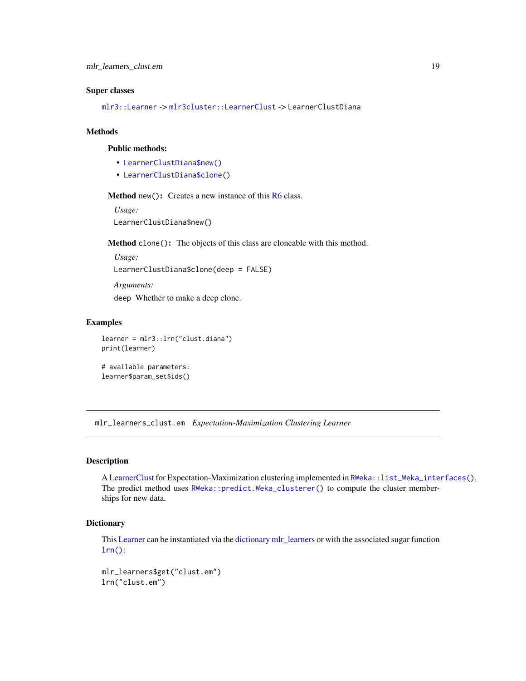#### <span id="page-18-0"></span>Super classes

[mlr3::Learner](#page-0-0) -> [mlr3cluster::LearnerClust](#page-0-0) -> LearnerClustDiana

#### Methods

#### Public methods:

- [LearnerClustDiana\\$new\(\)](#page-5-0)
- [LearnerClustDiana\\$clone\(\)](#page-6-1)

#### **Method** new( $)$ : Creates a new instance of this  $R6$  class.

```
Usage:
LearnerClustDiana$new()
```
Method clone(): The objects of this class are cloneable with this method.

```
Usage:
```
LearnerClustDiana\$clone(deep = FALSE)

*Arguments:* deep Whether to make a deep clone.

### Examples

```
learner = mlr3::lrn("clust.diana")
print(learner)
```

```
# available parameters:
learner$param_set$ids()
```
mlr\_learners\_clust.em *Expectation-Maximization Clustering Learner*

#### Description

A [LearnerClust](#page-4-1) for Expectation-Maximization clustering implemented in [RWeka::list\\_Weka\\_interfaces\(\)](#page-0-0). The predict method uses [RWeka::predict.Weka\\_clusterer\(\)](#page-0-0) to compute the cluster memberships for new data.

#### **Dictionary**

This [Learner](#page-0-0) can be instantiated via the [dictionary](#page-0-0) [mlr\\_learners](#page-0-0) or with the associated sugar function  $lrn()$ :

```
mlr_learners$get("clust.em")
lrn("clust.em")
```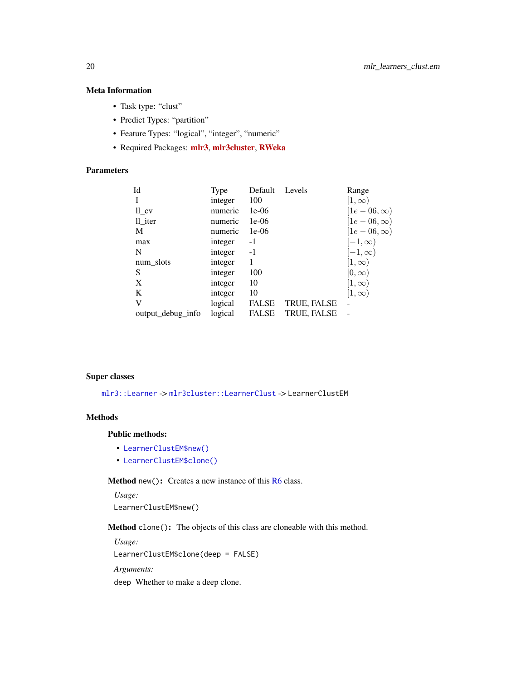# <span id="page-19-0"></span>Meta Information

- Task type: "clust"
- Predict Types: "partition"
- Feature Types: "logical", "integer", "numeric"
- Required Packages: [mlr3](https://CRAN.R-project.org/package=mlr3), [mlr3cluster](https://CRAN.R-project.org/package=mlr3cluster), [RWeka](https://CRAN.R-project.org/package=RWeka)

# Parameters

| Type    | Default      | Levels      | Range            |
|---------|--------------|-------------|------------------|
| integer | 100          |             | $[1,\infty)$     |
| numeric | $1e-06$      |             | $[1e-06,\infty)$ |
| numeric | $1e-06$      |             | $[1e-06,\infty)$ |
| numeric | $1e-06$      |             | $[1e-06,\infty)$ |
| integer | -1           |             | $[-1,\infty)$    |
| integer | $-1$         |             | $[-1,\infty)$    |
| integer |              |             | $[1,\infty)$     |
| integer | 100          |             | $[0,\infty)$     |
| integer | 10           |             | $ 1,\infty)$     |
| integer | 10           |             | $[1,\infty)$     |
| logical | <b>FALSE</b> | TRUE, FALSE |                  |
| logical | <b>FALSE</b> | TRUE, FALSE |                  |
|         |              |             |                  |

#### Super classes

[mlr3::Learner](#page-0-0) -> [mlr3cluster::LearnerClust](#page-0-0) -> LearnerClustEM

# Methods

#### Public methods:

- [LearnerClustEM\\$new\(\)](#page-5-0)
- [LearnerClustEM\\$clone\(\)](#page-6-1)

#### Method new(): Creates a new instance of this [R6](#page-0-0) class.

*Usage:* LearnerClustEM\$new()

Method clone(): The objects of this class are cloneable with this method.

*Usage:* LearnerClustEM\$clone(deep = FALSE) *Arguments:* deep Whether to make a deep clone.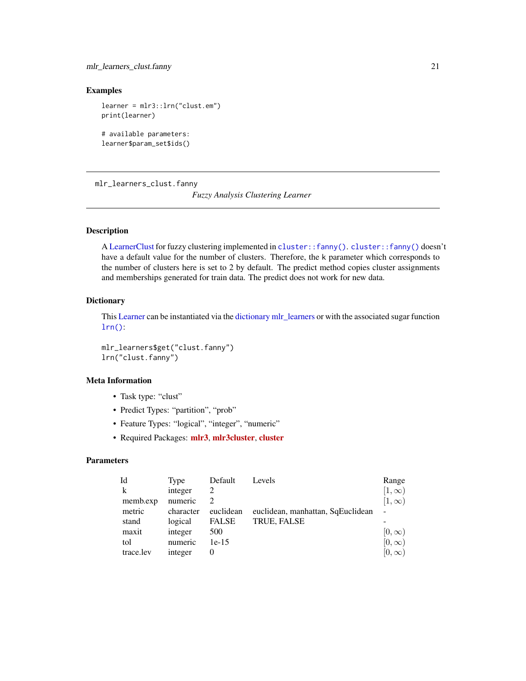<span id="page-20-0"></span>mlr\_learners\_clust.fanny 21

# Examples

learner = mlr3::lrn("clust.em") print(learner)

```
# available parameters:
learner$param_set$ids()
```
mlr\_learners\_clust.fanny *Fuzzy Analysis Clustering Learner*

# Description

A [LearnerClust](#page-4-1) for fuzzy clustering implemented in [cluster::fanny\(\)](#page-0-0). [cluster::fanny\(\)](#page-0-0) doesn't have a default value for the number of clusters. Therefore, the k parameter which corresponds to the number of clusters here is set to 2 by default. The predict method copies cluster assignments and memberships generated for train data. The predict does not work for new data.

# **Dictionary**

This [Learner](#page-0-0) can be instantiated via the [dictionary](#page-0-0) [mlr\\_learners](#page-0-0) or with the associated sugar function [lrn\(\)](#page-0-0):

mlr\_learners\$get("clust.fanny") lrn("clust.fanny")

# Meta Information

- Task type: "clust"
- Predict Types: "partition", "prob"
- Feature Types: "logical", "integer", "numeric"
- Required Packages: [mlr3](https://CRAN.R-project.org/package=mlr3), [mlr3cluster](https://CRAN.R-project.org/package=mlr3cluster), [cluster](https://CRAN.R-project.org/package=cluster)

# Parameters

| Id          | Type      | Default                     | Levels                            | Range          |
|-------------|-----------|-----------------------------|-----------------------------------|----------------|
| $\mathbf k$ | integer   |                             |                                   | $[1,\infty)$   |
| memb.exp    | numeric   | $\mathcal{D}_{\mathcal{L}}$ |                                   | $[1,\infty)$   |
| metric      | character | euclidean                   | euclidean, manhattan, SqEuclidean | $\overline{a}$ |
| stand       | logical   | <b>FALSE</b>                | TRUE, FALSE                       |                |
| maxit       | integer   | 500                         |                                   | $[0,\infty]$   |
| tol         | numeric   | $1e-15$                     |                                   | $[0,\infty)$   |
| trace.lev   | integer   | 0                           |                                   | $[0,\infty]$   |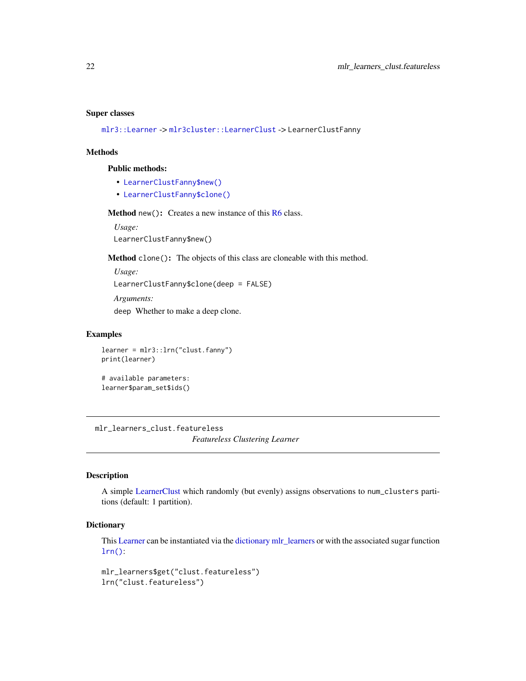#### <span id="page-21-0"></span>Super classes

[mlr3::Learner](#page-0-0) -> [mlr3cluster::LearnerClust](#page-0-0) -> LearnerClustFanny

#### Methods

# Public methods:

- [LearnerClustFanny\\$new\(\)](#page-5-0)
- [LearnerClustFanny\\$clone\(\)](#page-6-1)

Method new(): Creates a new instance of this [R6](#page-0-0) class.

*Usage:* LearnerClustFanny\$new()

Method clone(): The objects of this class are cloneable with this method.

*Usage:* LearnerClustFanny\$clone(deep = FALSE) *Arguments:* deep Whether to make a deep clone.

#### Examples

```
learner = mlr3::lrn("clust.fanny")
print(learner)
```

```
# available parameters:
learner$param_set$ids()
```
mlr\_learners\_clust.featureless

*Featureless Clustering Learner*

# Description

A simple [LearnerClust](#page-4-1) which randomly (but evenly) assigns observations to num\_clusters partitions (default: 1 partition).

# **Dictionary**

This [Learner](#page-0-0) can be instantiated via the [dictionary](#page-0-0) [mlr\\_learners](#page-0-0) or with the associated sugar function  $lrn()$ :

mlr\_learners\$get("clust.featureless") lrn("clust.featureless")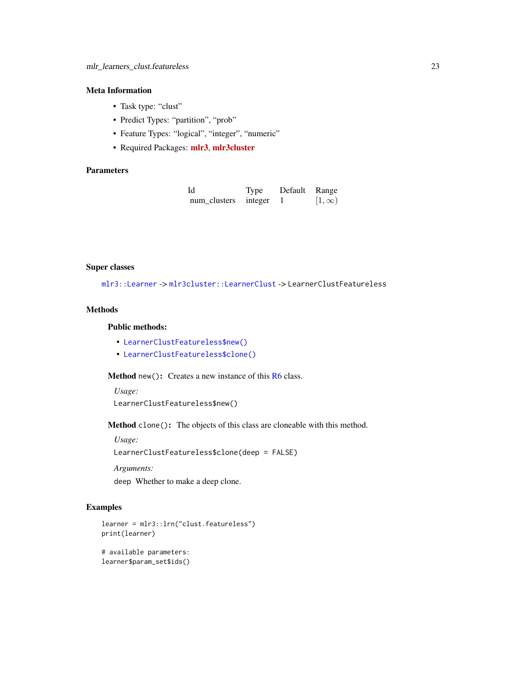# Meta Information

- Task type: "clust"
- Predict Types: "partition", "prob"
- Feature Types: "logical", "integer", "numeric"
- Required Packages: [mlr3](https://CRAN.R-project.org/package=mlr3), [mlr3cluster](https://CRAN.R-project.org/package=mlr3cluster)

# Parameters

| Id                   | Type | Default Range |              |
|----------------------|------|---------------|--------------|
| num_clusters integer |      |               | $[1,\infty)$ |

#### Super classes

[mlr3::Learner](#page-0-0) -> [mlr3cluster::LearnerClust](#page-0-0) -> LearnerClustFeatureless

# Methods

Public methods:

- [LearnerClustFeatureless\\$new\(\)](#page-5-0)
- [LearnerClustFeatureless\\$clone\(\)](#page-6-1)

Method new(): Creates a new instance of this [R6](#page-0-0) class.

*Usage:*

```
LearnerClustFeatureless$new()
```
Method clone(): The objects of this class are cloneable with this method.

*Usage:*

LearnerClustFeatureless\$clone(deep = FALSE)

*Arguments:*

deep Whether to make a deep clone.

# Examples

```
learner = mlr3::lrn("clust.featureless")
print(learner)
# available parameters:
learner$param_set$ids()
```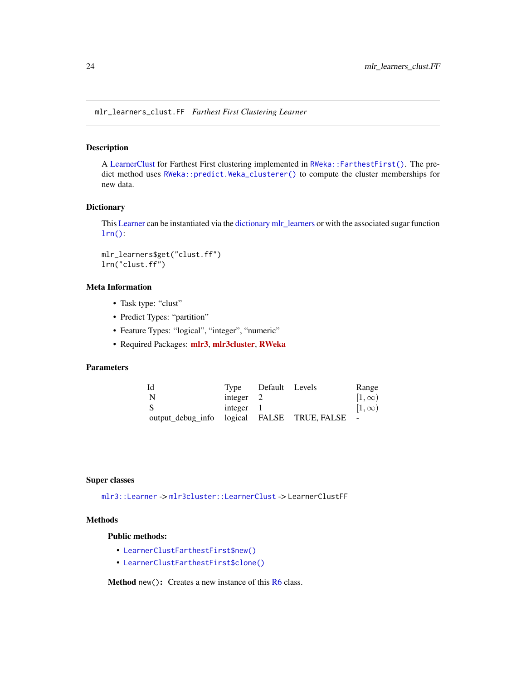<span id="page-23-0"></span>mlr\_learners\_clust.FF *Farthest First Clustering Learner*

# Description

A [LearnerClust](#page-4-1) for Farthest First clustering implemented in [RWeka::FarthestFirst\(\)](#page-0-0). The predict method uses [RWeka::predict.Weka\\_clusterer\(\)](#page-0-0) to compute the cluster memberships for new data.

# **Dictionary**

This [Learner](#page-0-0) can be instantiated via the [dictionary](#page-0-0) [mlr\\_learners](#page-0-0) or with the associated sugar function [lrn\(\)](#page-0-0):

```
mlr_learners$get("clust.ff")
lrn("clust.ff")
```
#### Meta Information

- Task type: "clust"
- Predict Types: "partition"
- Feature Types: "logical", "integer", "numeric"
- Required Packages: [mlr3](https://CRAN.R-project.org/package=mlr3), [mlr3cluster](https://CRAN.R-project.org/package=mlr3cluster), [RWeka](https://CRAN.R-project.org/package=RWeka)

#### Parameters

| Id                                            |             | Type Default Levels | Range        |
|-----------------------------------------------|-------------|---------------------|--------------|
| N                                             | integer $2$ |                     | $[1,\infty)$ |
| <sub>S</sub>                                  | integer $1$ |                     | $[1,\infty)$ |
| output_debug_info logical FALSE TRUE, FALSE - |             |                     |              |

#### Super classes

[mlr3::Learner](#page-0-0) -> [mlr3cluster::LearnerClust](#page-0-0) -> LearnerClustFF

#### Methods

#### Public methods:

- [LearnerClustFarthestFirst\\$new\(\)](#page-5-0)
- [LearnerClustFarthestFirst\\$clone\(\)](#page-6-1)

Method new(): Creates a new instance of this [R6](#page-0-0) class.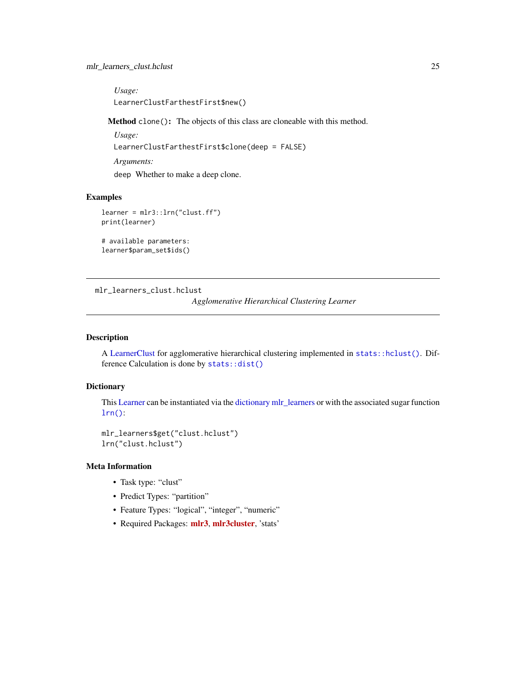# <span id="page-24-0"></span>mlr\_learners\_clust.hclust 25

*Usage:* LearnerClustFarthestFirst\$new()

Method clone(): The objects of this class are cloneable with this method.

*Usage:* LearnerClustFarthestFirst\$clone(deep = FALSE) *Arguments:* deep Whether to make a deep clone.

#### Examples

```
learner = mlr3::lrn("clust.ff")
print(learner)
```

```
# available parameters:
learner$param_set$ids()
```
mlr\_learners\_clust.hclust

```
Agglomerative Hierarchical Clustering Learner
```
#### Description

A [LearnerClust](#page-4-1) for agglomerative hierarchical clustering implemented in [stats::hclust\(\)](#page-0-0). Difference Calculation is done by [stats::dist\(\)](#page-0-0)

### Dictionary

This [Learner](#page-0-0) can be instantiated via the [dictionary](#page-0-0) [mlr\\_learners](#page-0-0) or with the associated sugar function [lrn\(\)](#page-0-0):

```
mlr_learners$get("clust.hclust")
lrn("clust.hclust")
```
# Meta Information

- Task type: "clust"
- Predict Types: "partition"
- Feature Types: "logical", "integer", "numeric"
- Required Packages: [mlr3](https://CRAN.R-project.org/package=mlr3), [mlr3cluster](https://CRAN.R-project.org/package=mlr3cluster), 'stats'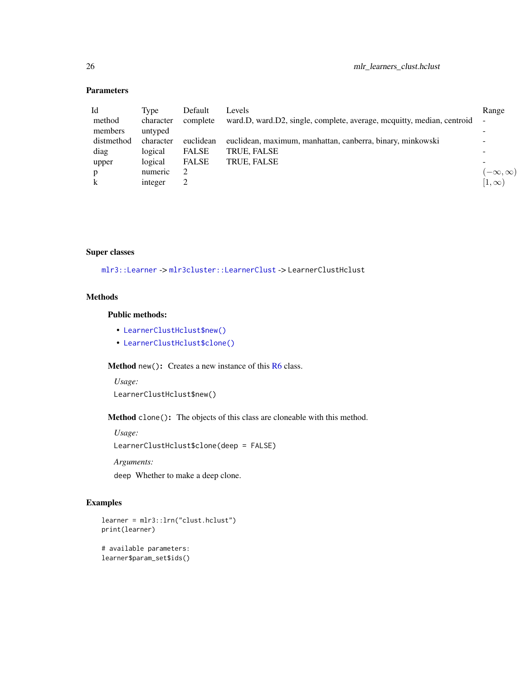# Parameters

| Id           | Type      | Default      | Levels                                                                 | Range              |
|--------------|-----------|--------------|------------------------------------------------------------------------|--------------------|
| method       | character | complete     | ward.D, ward.D2, single, complete, average, mcquitty, median, centroid |                    |
| members      | untyped   |              |                                                                        |                    |
| distmethod   | character | euclidean    | euclidean, maximum, manhattan, canberra, binary, minkowski             |                    |
| diag         | logical   | <b>FALSE</b> | <b>TRUE, FALSE</b>                                                     |                    |
| upper        | logical   | <b>FALSE</b> | TRUE, FALSE                                                            |                    |
| p            | numeric   |              |                                                                        | $(-\infty,\infty)$ |
| $\mathbf{k}$ | integer   |              |                                                                        | $ 1,\infty)$       |

#### Super classes

[mlr3::Learner](#page-0-0) -> [mlr3cluster::LearnerClust](#page-0-0) -> LearnerClustHclust

# Methods

# Public methods:

- [LearnerClustHclust\\$new\(\)](#page-5-0)
- [LearnerClustHclust\\$clone\(\)](#page-6-1)

# Method new(): Creates a new instance of this [R6](#page-0-0) class.

*Usage:* LearnerClustHclust\$new()

Method clone(): The objects of this class are cloneable with this method.

*Usage:*

LearnerClustHclust\$clone(deep = FALSE)

*Arguments:*

deep Whether to make a deep clone.

# Examples

```
learner = mlr3::lrn("clust.hclust")
print(learner)
# available parameters:
learner$param_set$ids()
```
<span id="page-25-0"></span>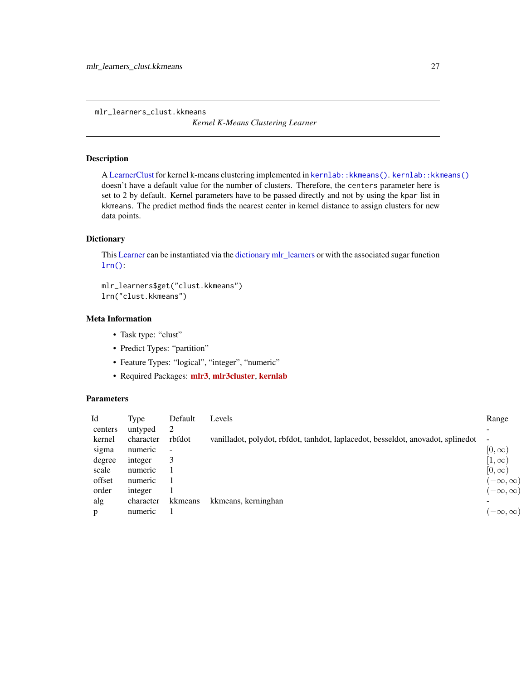<span id="page-26-0"></span>mlr\_learners\_clust.kkmeans

*Kernel K-Means Clustering Learner*

#### Description

A [LearnerClust](#page-4-1) for kernel k-means clustering implemented in [kernlab::kkmeans\(\)](#page-0-0). [kernlab::kkmeans\(\)](#page-0-0) doesn't have a default value for the number of clusters. Therefore, the centers parameter here is set to 2 by default. Kernel parameters have to be passed directly and not by using the kpar list in kkmeans. The predict method finds the nearest center in kernel distance to assign clusters for new data points.

#### Dictionary

This [Learner](#page-0-0) can be instantiated via the [dictionary](#page-0-0) [mlr\\_learners](#page-0-0) or with the associated sugar function [lrn\(\)](#page-0-0):

mlr\_learners\$get("clust.kkmeans") lrn("clust.kkmeans")

# Meta Information

- Task type: "clust"
- Predict Types: "partition"
- Feature Types: "logical", "integer", "numeric"
- Required Packages: [mlr3](https://CRAN.R-project.org/package=mlr3), [mlr3cluster](https://CRAN.R-project.org/package=mlr3cluster), [kernlab](https://CRAN.R-project.org/package=kernlab)

#### Parameters

| Id      | Type      | Default        | Levels                                                                           | Range              |
|---------|-----------|----------------|----------------------------------------------------------------------------------|--------------------|
| centers | untyped   | 2              |                                                                                  |                    |
| kernel  | character | rbfdot         | vanilladot, polydot, rbfdot, tanhdot, laplacedot, besseldot, anovadot, splinedot | ٠                  |
| sigma   | numeric   | $\overline{a}$ |                                                                                  | $[0,\infty)$       |
| degree  | integer   | 3              |                                                                                  | $[1,\infty)$       |
| scale   | numeric   |                |                                                                                  | $[0,\infty)$       |
| offset  | numeric   |                |                                                                                  | $(-\infty,\infty)$ |
| order   | integer   |                |                                                                                  | $(-\infty,\infty)$ |
| alg     | character | kkmeans        | kkmeans, kerninghan                                                              |                    |
| p       | numeric   |                |                                                                                  | $(-\infty,\infty)$ |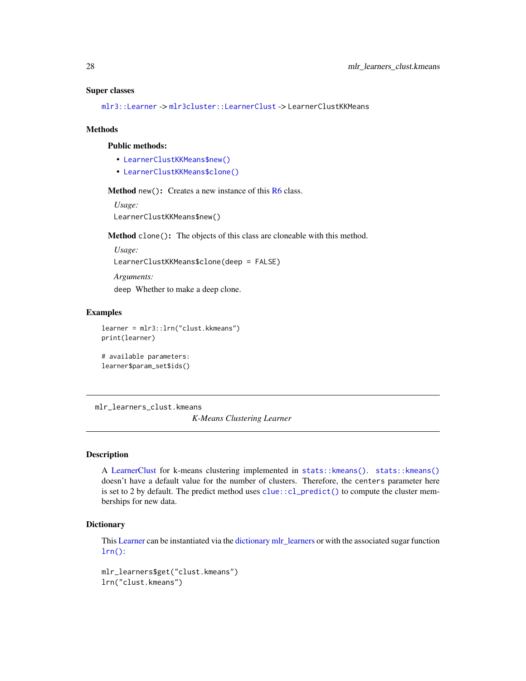#### <span id="page-27-0"></span>Super classes

[mlr3::Learner](#page-0-0) -> [mlr3cluster::LearnerClust](#page-0-0) -> LearnerClustKKMeans

#### **Methods**

#### Public methods:

- [LearnerClustKKMeans\\$new\(\)](#page-5-0)
- [LearnerClustKKMeans\\$clone\(\)](#page-6-1)

#### Method new(): Creates a new instance of this [R6](#page-0-0) class.

*Usage:*

LearnerClustKKMeans\$new()

Method clone(): The objects of this class are cloneable with this method.

*Usage:*

LearnerClustKKMeans\$clone(deep = FALSE)

*Arguments:*

deep Whether to make a deep clone.

#### Examples

```
learner = mlr3::lrn("clust.kkmeans")
print(learner)
```

```
# available parameters:
learner$param_set$ids()
```
mlr\_learners\_clust.kmeans

*K-Means Clustering Learner*

#### Description

A [LearnerClust](#page-4-1) for k-means clustering implemented in [stats::kmeans\(\)](#page-0-0). [stats::kmeans\(\)](#page-0-0) doesn't have a default value for the number of clusters. Therefore, the centers parameter here is set to 2 by default. The predict method uses [clue::cl\\_predict\(\)](#page-0-0) to compute the cluster memberships for new data.

#### **Dictionary**

This [Learner](#page-0-0) can be instantiated via the [dictionary](#page-0-0) [mlr\\_learners](#page-0-0) or with the associated sugar function [lrn\(\)](#page-0-0):

mlr\_learners\$get("clust.kmeans") lrn("clust.kmeans")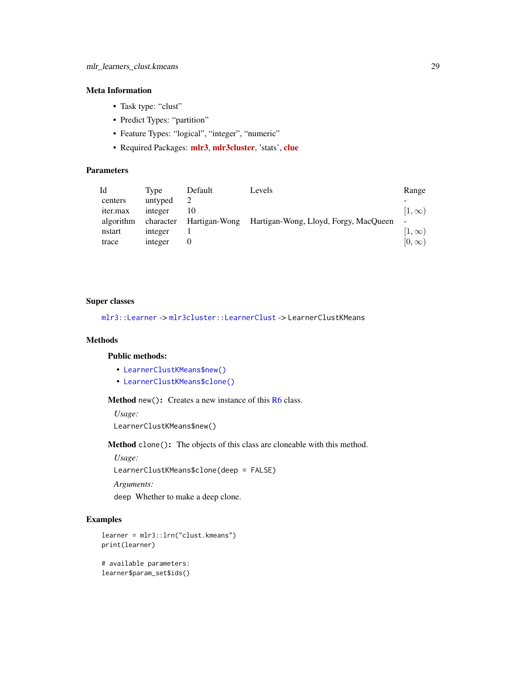# <span id="page-28-0"></span>Meta Information

- Task type: "clust"
- Predict Types: "partition"
- Feature Types: "logical", "integer", "numeric"
- Required Packages: [mlr3](https://CRAN.R-project.org/package=mlr3), [mlr3cluster](https://CRAN.R-project.org/package=mlr3cluster), 'stats', [clue](https://CRAN.R-project.org/package=clue)

# Parameters

| Id              | Tvpe      | Default       | Levels                                | Range                    |
|-----------------|-----------|---------------|---------------------------------------|--------------------------|
| centers         | untyped   |               |                                       |                          |
| <i>iter.max</i> | integer   |               |                                       | $ 1,\infty)$             |
| algorithm       | character | Hartigan-Wong | Hartigan-Wong, Lloyd, Forgy, MacQueen | $\overline{\phantom{a}}$ |
| nstart          | integer   |               |                                       | $[1,\infty)$             |
| trace           | integer   |               |                                       | $[0,\infty)$             |

#### Super classes

[mlr3::Learner](#page-0-0) -> [mlr3cluster::LearnerClust](#page-0-0) -> LearnerClustKMeans

# Methods

#### Public methods:

- [LearnerClustKMeans\\$new\(\)](#page-5-0)
- [LearnerClustKMeans\\$clone\(\)](#page-6-1)

Method new(): Creates a new instance of this [R6](#page-0-0) class.

*Usage:*

LearnerClustKMeans\$new()

Method clone(): The objects of this class are cloneable with this method.

*Usage:*

LearnerClustKMeans\$clone(deep = FALSE)

*Arguments:*

deep Whether to make a deep clone.

#### Examples

```
learner = mlr3::lrn("clust.kmeans")
print(learner)
```

```
# available parameters:
learner$param_set$ids()
```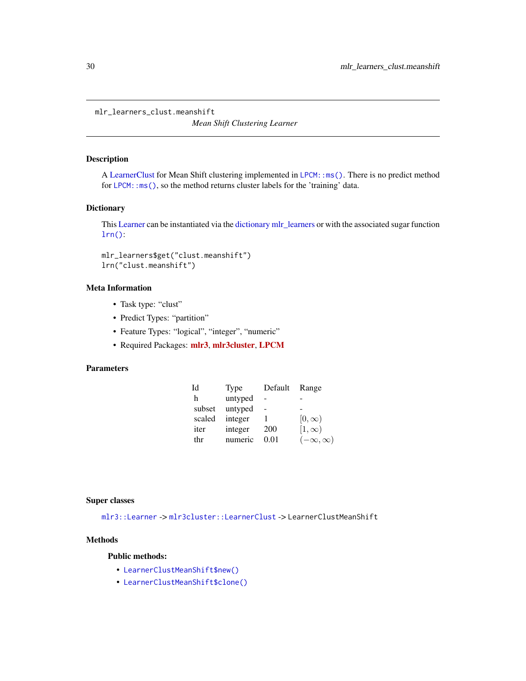<span id="page-29-0"></span>mlr\_learners\_clust.meanshift

*Mean Shift Clustering Learner*

#### Description

A [LearnerClust](#page-4-1) for Mean Shift clustering implemented in LPCM: : ms(). There is no predict method for [LPCM::ms\(\)](#page-0-0), so the method returns cluster labels for the 'training' data.

# **Dictionary**

This [Learner](#page-0-0) can be instantiated via the [dictionary](#page-0-0) [mlr\\_learners](#page-0-0) or with the associated sugar function [lrn\(\)](#page-0-0):

mlr\_learners\$get("clust.meanshift") lrn("clust.meanshift")

#### Meta Information

- Task type: "clust"
- Predict Types: "partition"
- Feature Types: "logical", "integer", "numeric"
- Required Packages: [mlr3](https://CRAN.R-project.org/package=mlr3), [mlr3cluster](https://CRAN.R-project.org/package=mlr3cluster), [LPCM](https://CRAN.R-project.org/package=LPCM)

# Parameters

| Id     | <b>Type</b> | Default | Range              |
|--------|-------------|---------|--------------------|
| h      | untyped     |         |                    |
| subset | untyped     |         |                    |
| scaled | integer     |         | $[0,\infty)$       |
| iter   | integer     | 200     | $[1,\infty)$       |
| thr    | numeric     | 0.01    | $(-\infty,\infty)$ |

#### Super classes

[mlr3::Learner](#page-0-0) -> [mlr3cluster::LearnerClust](#page-0-0) -> LearnerClustMeanShift

# Methods

Public methods:

- [LearnerClustMeanShift\\$new\(\)](#page-5-0)
- [LearnerClustMeanShift\\$clone\(\)](#page-6-1)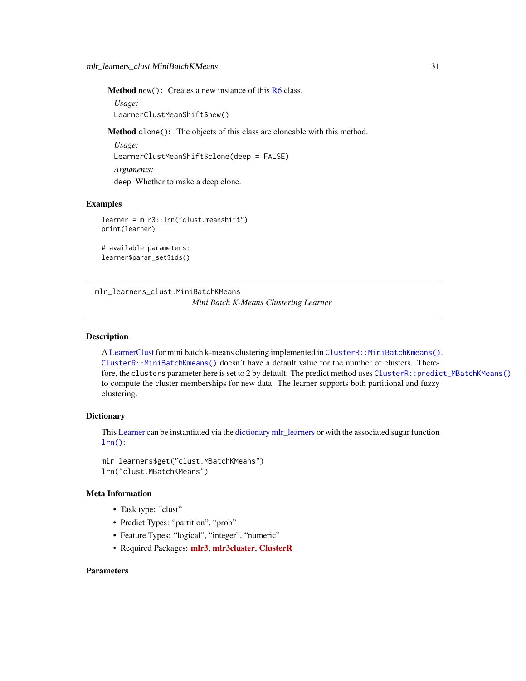<span id="page-30-0"></span>Method new(): Creates a new instance of this [R6](#page-0-0) class.

*Usage:* LearnerClustMeanShift\$new()

Method clone(): The objects of this class are cloneable with this method.

*Usage:* LearnerClustMeanShift\$clone(deep = FALSE) *Arguments:* deep Whether to make a deep clone.

#### Examples

```
learner = mlr3::lrn("clust.meanshift")
print(learner)
```

```
# available parameters:
learner$param_set$ids()
```
mlr\_learners\_clust.MiniBatchKMeans *Mini Batch K-Means Clustering Learner*

# Description

A [LearnerClust](#page-4-1) for mini batch k-means clustering implemented in [ClusterR::MiniBatchKmeans\(\)](#page-0-0). [ClusterR::MiniBatchKmeans\(\)](#page-0-0) doesn't have a default value for the number of clusters. Therefore, the clusters parameter here is set to 2 by default. The predict method uses [ClusterR::predict\\_MBatchKMeans\(\)](#page-0-0) to compute the cluster memberships for new data. The learner supports both partitional and fuzzy clustering.

#### Dictionary

This [Learner](#page-0-0) can be instantiated via the [dictionary](#page-0-0) [mlr\\_learners](#page-0-0) or with the associated sugar function  $lrn()$ :

mlr\_learners\$get("clust.MBatchKMeans") lrn("clust.MBatchKMeans")

### Meta Information

- Task type: "clust"
- Predict Types: "partition", "prob"
- Feature Types: "logical", "integer", "numeric"
- Required Packages: [mlr3](https://CRAN.R-project.org/package=mlr3), [mlr3cluster](https://CRAN.R-project.org/package=mlr3cluster), [ClusterR](https://CRAN.R-project.org/package=ClusterR)

#### **Parameters**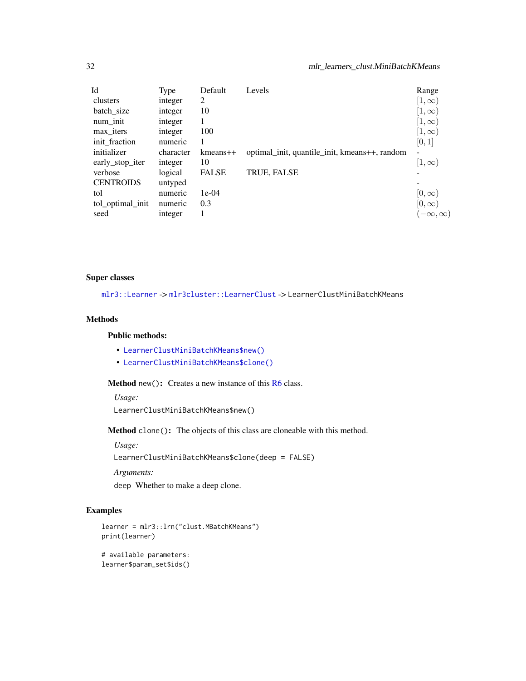<span id="page-31-0"></span>

| Id               | Type      | Default        | Levels                                        | Range              |
|------------------|-----------|----------------|-----------------------------------------------|--------------------|
| clusters         | integer   | 2              |                                               | $[1,\infty)$       |
| batch_size       | integer   | 10             |                                               | $[1,\infty)$       |
| num init         | integer   |                |                                               | $ 1,\infty\rangle$ |
| max iters        | integer   | 100            |                                               | $[1,\infty)$       |
| init_fraction    | numeric   |                |                                               | [0, 1]             |
| initializer      | character | $k$ means $++$ | optimal_init, quantile_init, kmeans++, random |                    |
| early_stop_iter  | integer   | 10             |                                               | $[1,\infty)$       |
| verbose          | logical   | <b>FALSE</b>   | TRUE, FALSE                                   |                    |
| <b>CENTROIDS</b> | untyped   |                |                                               |                    |
| tol              | numeric   | $1e-04$        |                                               | $[0,\infty]$       |
| tol_optimal_init | numeric   | 0.3            |                                               | $[0,\infty)$       |
| seed             | integer   |                |                                               | $-\infty, \infty)$ |

# Super classes

[mlr3::Learner](#page-0-0) -> [mlr3cluster::LearnerClust](#page-0-0) -> LearnerClustMiniBatchKMeans

# Methods

# Public methods:

- [LearnerClustMiniBatchKMeans\\$new\(\)](#page-5-0)
- [LearnerClustMiniBatchKMeans\\$clone\(\)](#page-6-1)

Method new(): Creates a new instance of this [R6](#page-0-0) class.

*Usage:*

LearnerClustMiniBatchKMeans\$new()

Method clone(): The objects of this class are cloneable with this method.

*Usage:*

LearnerClustMiniBatchKMeans\$clone(deep = FALSE)

*Arguments:*

deep Whether to make a deep clone.

# Examples

```
learner = mlr3::lrn("clust.MBatchKMeans")
print(learner)
# available parameters:
```

```
learner$param_set$ids()
```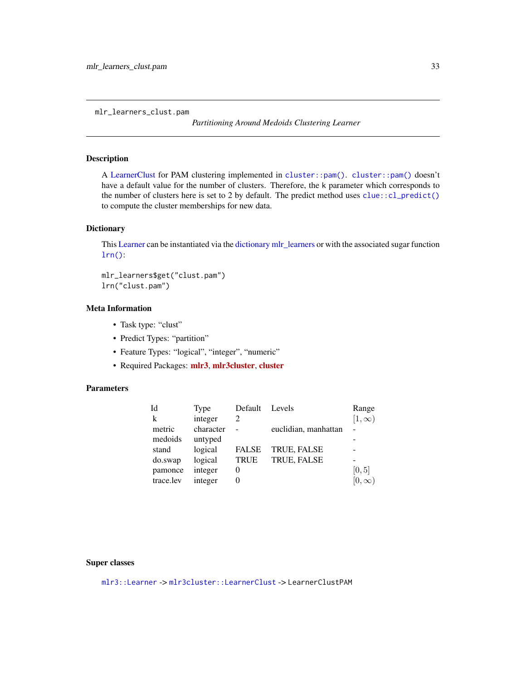<span id="page-32-0"></span>mlr\_learners\_clust.pam

*Partitioning Around Medoids Clustering Learner*

# Description

A [LearnerClust](#page-4-1) for PAM clustering implemented in [cluster::pam\(\)](#page-0-0). [cluster::pam\(\)](#page-0-0) doesn't have a default value for the number of clusters. Therefore, the k parameter which corresponds to the number of clusters here is set to 2 by default. The predict method uses [clue::cl\\_predict\(\)](#page-0-0) to compute the cluster memberships for new data.

#### Dictionary

This [Learner](#page-0-0) can be instantiated via the [dictionary](#page-0-0) [mlr\\_learners](#page-0-0) or with the associated sugar function [lrn\(\)](#page-0-0):

mlr\_learners\$get("clust.pam") lrn("clust.pam")

# Meta Information

- Task type: "clust"
- Predict Types: "partition"
- Feature Types: "logical", "integer", "numeric"
- Required Packages: [mlr3](https://CRAN.R-project.org/package=mlr3), [mlr3cluster](https://CRAN.R-project.org/package=mlr3cluster), [cluster](https://CRAN.R-project.org/package=cluster)

# Parameters

| Type      | Default      | Levels               | Range         |
|-----------|--------------|----------------------|---------------|
| integer   | 2            |                      | $[1,\infty)$  |
| character |              | euclidian, manhattan |               |
| untyped   |              |                      |               |
| logical   | <b>FALSE</b> | <b>TRUE, FALSE</b>   |               |
| logical   | <b>TRUE</b>  | TRUE, FALSE          |               |
| integer   | $\Omega$     |                      | [0, 5]        |
| integer   |              |                      | $[0, \infty)$ |
|           |              |                      |               |

# Super classes

[mlr3::Learner](#page-0-0) -> [mlr3cluster::LearnerClust](#page-0-0) -> LearnerClustPAM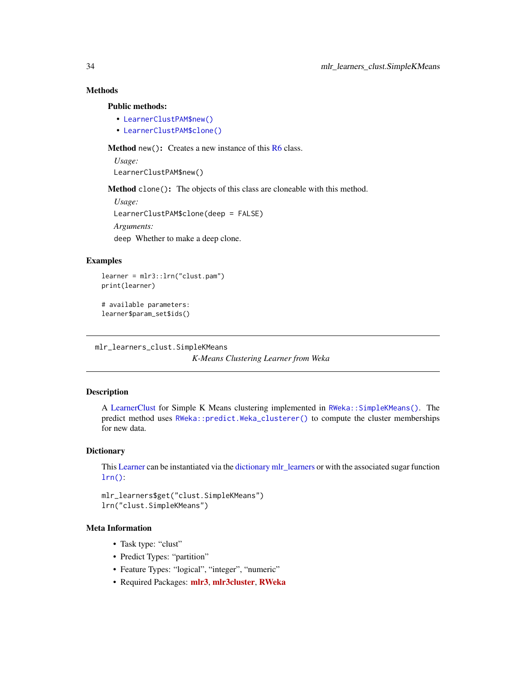# <span id="page-33-0"></span>Methods

#### Public methods:

- [LearnerClustPAM\\$new\(\)](#page-5-0)
- [LearnerClustPAM\\$clone\(\)](#page-6-1)

Method new(): Creates a new instance of this [R6](#page-0-0) class.

*Usage:*

LearnerClustPAM\$new()

Method clone(): The objects of this class are cloneable with this method.

```
Usage:
LearnerClustPAM$clone(deep = FALSE)
Arguments:
deep Whether to make a deep clone.
```
# Examples

```
learner = mlr3::lrn("clust.pam")
print(learner)
```

```
# available parameters:
learner$param_set$ids()
```
mlr\_learners\_clust.SimpleKMeans

*K-Means Clustering Learner from Weka*

#### Description

A [LearnerClust](#page-4-1) for Simple K Means clustering implemented in [RWeka::SimpleKMeans\(\)](#page-0-0). The predict method uses [RWeka::predict.Weka\\_clusterer\(\)](#page-0-0) to compute the cluster memberships for new data.

### **Dictionary**

This [Learner](#page-0-0) can be instantiated via the [dictionary](#page-0-0) [mlr\\_learners](#page-0-0) or with the associated sugar function  $lrn()$ :

mlr\_learners\$get("clust.SimpleKMeans") lrn("clust.SimpleKMeans")

# Meta Information

- Task type: "clust"
- Predict Types: "partition"
- Feature Types: "logical", "integer", "numeric"
- Required Packages: [mlr3](https://CRAN.R-project.org/package=mlr3), [mlr3cluster](https://CRAN.R-project.org/package=mlr3cluster), [RWeka](https://CRAN.R-project.org/package=RWeka)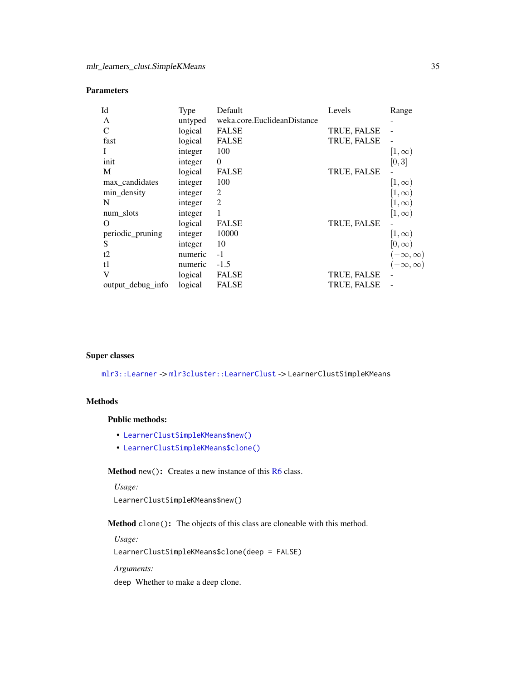# <span id="page-34-0"></span>Parameters

| Id                | Type    | Default                     | Levels             | Range                                      |
|-------------------|---------|-----------------------------|--------------------|--------------------------------------------|
| A                 | untyped | weka.core.EuclideanDistance |                    |                                            |
| $\mathcal{C}$     | logical | <b>FALSE</b>                | TRUE, FALSE        |                                            |
| fast              | logical | <b>FALSE</b>                | TRUE, FALSE        |                                            |
|                   | integer | 100                         |                    | $[1,\infty)$                               |
| init              | integer | $\Omega$                    |                    | [0,3]                                      |
| M                 | logical | <b>FALSE</b>                | <b>TRUE, FALSE</b> |                                            |
| max_candidates    | integer | 100                         |                    | $[1,\infty)$                               |
| min_density       | integer | 2                           |                    | $[1,\infty)$                               |
| N                 | integer | 2                           |                    | $[1,\infty)$                               |
| num_slots         | integer | 1                           |                    | $[1,\infty)$                               |
| O                 | logical | <b>FALSE</b>                | TRUE, FALSE        |                                            |
| periodic_pruning  | integer | 10000                       |                    | $[1,\infty)$                               |
| S                 | integer | 10                          |                    | $[0,\infty)$                               |
| t2                | numeric | $-1$                        |                    |                                            |
| t1                | numeric | $-1.5$                      |                    | $(-\infty, \infty)$<br>$(-\infty, \infty)$ |
| V                 | logical | <b>FALSE</b>                | TRUE, FALSE        |                                            |
| output_debug_info | logical | <b>FALSE</b>                | <b>TRUE, FALSE</b> |                                            |

#### Super classes

[mlr3::Learner](#page-0-0) -> [mlr3cluster::LearnerClust](#page-0-0) -> LearnerClustSimpleKMeans

# Methods

#### Public methods:

- [LearnerClustSimpleKMeans\\$new\(\)](#page-5-0)
- [LearnerClustSimpleKMeans\\$clone\(\)](#page-6-1)

Method new(): Creates a new instance of this [R6](#page-0-0) class.

*Usage:* LearnerClustSimpleKMeans\$new()

Method clone(): The objects of this class are cloneable with this method.

*Usage:*

LearnerClustSimpleKMeans\$clone(deep = FALSE)

*Arguments:*

deep Whether to make a deep clone.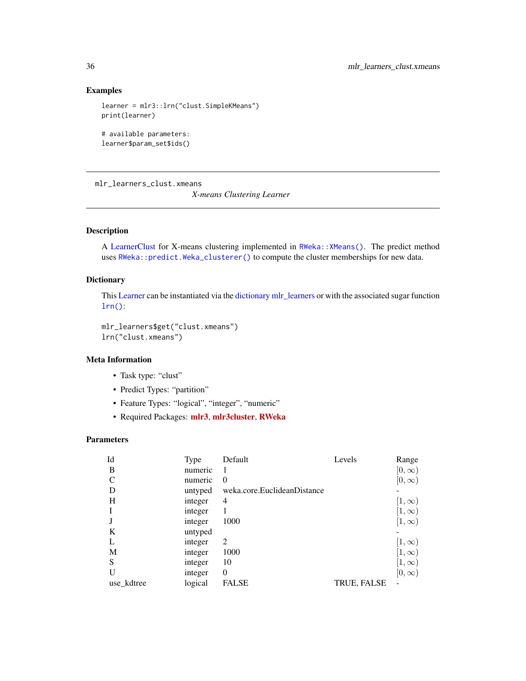# Examples

```
learner = mlr3::lrn("clust.SimpleKMeans")
print(learner)
```

```
# available parameters:
learner$param_set$ids()
```
mlr\_learners\_clust.xmeans

*X-means Clustering Learner*

# Description

A [LearnerClust](#page-4-1) for X-means clustering implemented in [RWeka::XMeans\(\)](#page-0-0). The predict method uses [RWeka::predict.Weka\\_clusterer\(\)](#page-0-0) to compute the cluster memberships for new data.

# **Dictionary**

This [Learner](#page-0-0) can be instantiated via the [dictionary](#page-0-0) [mlr\\_learners](#page-0-0) or with the associated sugar function [lrn\(\)](#page-0-0):

mlr\_learners\$get("clust.xmeans") lrn("clust.xmeans")

# Meta Information

- Task type: "clust"
- Predict Types: "partition"
- Feature Types: "logical", "integer", "numeric"
- Required Packages: [mlr3](https://CRAN.R-project.org/package=mlr3), [mlr3cluster](https://CRAN.R-project.org/package=mlr3cluster), [RWeka](https://CRAN.R-project.org/package=RWeka)

# Parameters

| Id            | <b>Type</b> | Default                     | Levels      | Range        |
|---------------|-------------|-----------------------------|-------------|--------------|
| B             | numeric     |                             |             | $[0,\infty)$ |
| $\mathcal{C}$ | numeric     | $\Omega$                    |             | $[0,\infty)$ |
| D             | untyped     | weka.core.EuclideanDistance |             |              |
| Н             | integer     | 4                           |             | $[1,\infty)$ |
|               | integer     |                             |             | $[1,\infty)$ |
|               | integer     | 1000                        |             | $(1,\infty)$ |
| K             | untyped     |                             |             |              |
| L             | integer     | 2                           |             | $[1,\infty)$ |
| M             | integer     | 1000                        |             | $[1,\infty)$ |
| S             | integer     | 10                          |             | $[1,\infty)$ |
|               | integer     | $\theta$                    |             | $[0,\infty)$ |
| use_kdtree    | logical     | <b>FALSE</b>                | TRUE, FALSE |              |

<span id="page-35-0"></span>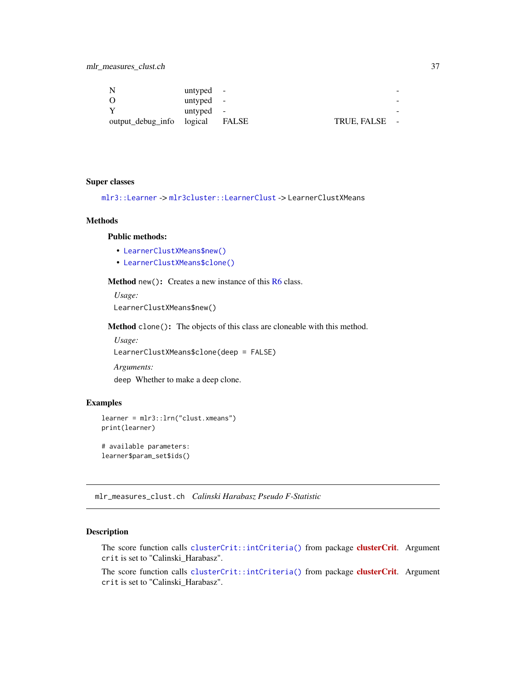<span id="page-36-0"></span>

| -N                        | untyped - |       |             | $\sim$                   |
|---------------------------|-----------|-------|-------------|--------------------------|
| - 0                       | untyped - |       |             | $\overline{\phantom{a}}$ |
|                           | untyped - |       |             | -                        |
| output_debug_info logical |           | FALSE | TRUE, FALSE | $\sim$                   |

#### Super classes

[mlr3::Learner](#page-0-0) -> [mlr3cluster::LearnerClust](#page-0-0) -> LearnerClustXMeans

#### Methods

# Public methods:

- [LearnerClustXMeans\\$new\(\)](#page-5-0)
- [LearnerClustXMeans\\$clone\(\)](#page-6-1)

Method new(): Creates a new instance of this [R6](#page-0-0) class.

*Usage:* LearnerClustXMeans\$new()

Method clone(): The objects of this class are cloneable with this method.

*Usage:* LearnerClustXMeans\$clone(deep = FALSE) *Arguments:*

deep Whether to make a deep clone.

# Examples

```
learner = mlr3::lrn("clust.xmeans")
print(learner)
# available parameters:
```
learner\$param\_set\$ids()

<span id="page-36-1"></span>mlr\_measures\_clust.ch *Calinski Harabasz Pseudo F-Statistic*

# Description

The score function calls [clusterCrit::intCriteria\(\)](#page-0-0) from package [clusterCrit](https://CRAN.R-project.org/package=clusterCrit). Argument crit is set to "Calinski\_Harabasz".

The score function calls [clusterCrit::intCriteria\(\)](#page-0-0) from package [clusterCrit](https://CRAN.R-project.org/package=clusterCrit). Argument crit is set to "Calinski\_Harabasz".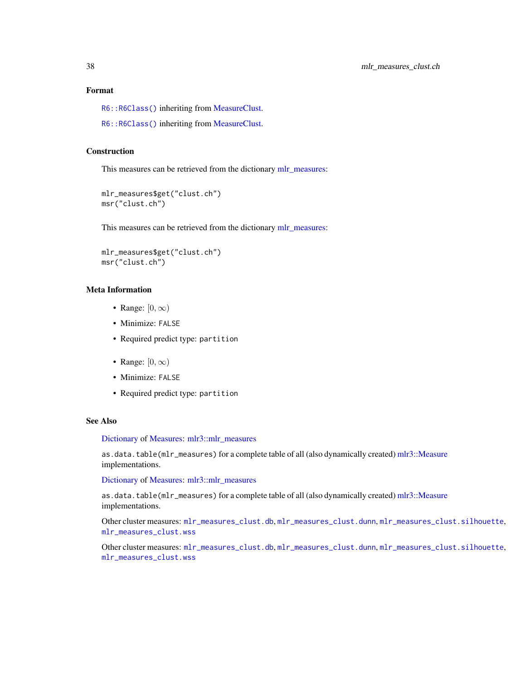# <span id="page-37-0"></span>Format

[R6::R6Class\(\)](#page-0-0) inheriting from [MeasureClust.](#page-6-2)

[R6::R6Class\(\)](#page-0-0) inheriting from [MeasureClust.](#page-6-2)

# Construction

This measures can be retrieved from the dictionary [mlr\\_measures:](#page-0-0)

```
mlr_measures$get("clust.ch")
msr("clust.ch")
```
This measures can be retrieved from the dictionary [mlr\\_measures:](#page-0-0)

```
mlr_measures$get("clust.ch")
msr("clust.ch")
```
# Meta Information

- Range:  $[0, \infty)$
- Minimize: FALSE
- Required predict type: partition
- Range:  $[0, \infty)$
- Minimize: FALSE
- Required predict type: partition

# See Also

#### [Dictionary](#page-0-0) of [Measures:](#page-0-0) [mlr3::mlr\\_measures](#page-0-0)

as.data.table(mlr\_measures) for a complete table of all (also dynamically created) [mlr3::Measure](#page-0-0) implementations.

[Dictionary](#page-0-0) of [Measures:](#page-0-0) [mlr3::mlr\\_measures](#page-0-0)

as.data.table(mlr\_measures) for a complete table of all (also dynamically created) [mlr3::Measure](#page-0-0) implementations.

Other cluster measures: [mlr\\_measures\\_clust.db](#page-38-2), [mlr\\_measures\\_clust.dunn](#page-38-1), [mlr\\_measures\\_clust.silhouette](#page-39-1), [mlr\\_measures\\_clust.wss](#page-40-1)

Other cluster measures: [mlr\\_measures\\_clust.db](#page-38-2), [mlr\\_measures\\_clust.dunn](#page-38-1), [mlr\\_measures\\_clust.silhouette](#page-39-1), [mlr\\_measures\\_clust.wss](#page-40-1)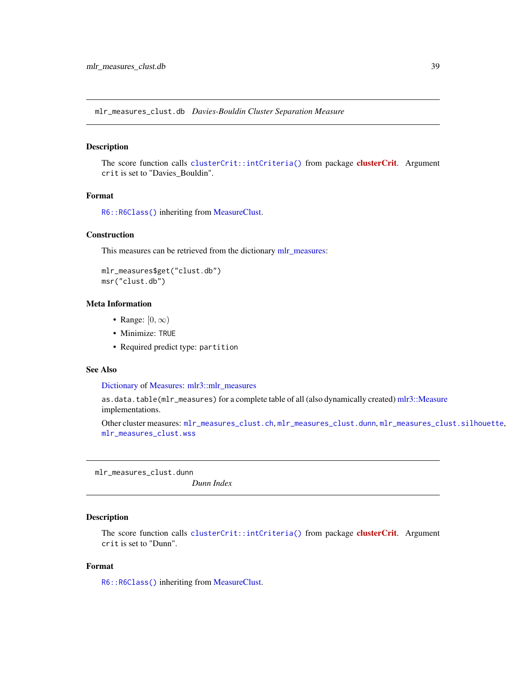<span id="page-38-2"></span><span id="page-38-0"></span>mlr\_measures\_clust.db *Davies-Bouldin Cluster Separation Measure*

#### Description

The score function calls [clusterCrit::intCriteria\(\)](#page-0-0) from package **[clusterCrit](https://CRAN.R-project.org/package=clusterCrit)**. Argument crit is set to "Davies\_Bouldin".

### Format

[R6::R6Class\(\)](#page-0-0) inheriting from [MeasureClust.](#page-6-2)

#### **Construction**

This measures can be retrieved from the dictionary [mlr\\_measures:](#page-0-0)

```
mlr_measures$get("clust.db")
msr("clust.db")
```
# Meta Information

- Range:  $[0, \infty)$
- Minimize: TRUE
- Required predict type: partition

# See Also

[Dictionary](#page-0-0) of [Measures:](#page-0-0) [mlr3::mlr\\_measures](#page-0-0)

as.data.table(mlr\_measures) for a complete table of all (also dynamically created) [mlr3::Measure](#page-0-0) implementations.

Other cluster measures: [mlr\\_measures\\_clust.ch](#page-36-1), [mlr\\_measures\\_clust.dunn](#page-38-1), [mlr\\_measures\\_clust.silhouette](#page-39-1), [mlr\\_measures\\_clust.wss](#page-40-1)

<span id="page-38-1"></span>mlr\_measures\_clust.dunn

*Dunn Index*

#### Description

The score function calls [clusterCrit::intCriteria\(\)](#page-0-0) from package [clusterCrit](https://CRAN.R-project.org/package=clusterCrit). Argument crit is set to "Dunn".

# Format

[R6::R6Class\(\)](#page-0-0) inheriting from [MeasureClust.](#page-6-2)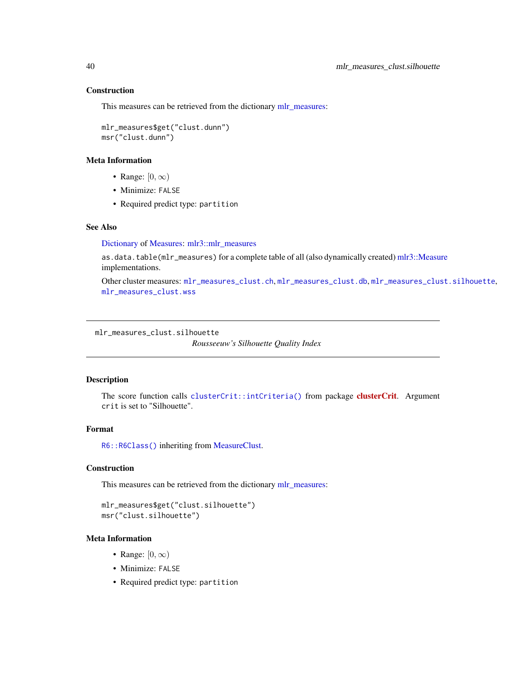# **Construction**

This measures can be retrieved from the dictionary [mlr\\_measures:](#page-0-0)

```
mlr_measures$get("clust.dunn")
msr("clust.dunn")
```
#### Meta Information

- Range:  $[0, \infty)$
- Minimize: FALSE
- Required predict type: partition

#### See Also

[Dictionary](#page-0-0) of [Measures:](#page-0-0) [mlr3::mlr\\_measures](#page-0-0)

as.data.table(mlr\_measures) for a complete table of all (also dynamically created) [mlr3::Measure](#page-0-0) implementations.

Other cluster measures: [mlr\\_measures\\_clust.ch](#page-36-1), [mlr\\_measures\\_clust.db](#page-38-2), [mlr\\_measures\\_clust.silhouette](#page-39-1), [mlr\\_measures\\_clust.wss](#page-40-1)

<span id="page-39-1"></span>mlr\_measures\_clust.silhouette

*Rousseeuw's Silhouette Quality Index*

# Description

The score function calls [clusterCrit::intCriteria\(\)](#page-0-0) from package **[clusterCrit](https://CRAN.R-project.org/package=clusterCrit)**. Argument crit is set to "Silhouette".

# Format

[R6::R6Class\(\)](#page-0-0) inheriting from [MeasureClust.](#page-6-2)

# Construction

This measures can be retrieved from the dictionary [mlr\\_measures:](#page-0-0)

```
mlr_measures$get("clust.silhouette")
msr("clust.silhouette")
```
# Meta Information

- Range:  $[0, \infty)$
- Minimize: FALSE
- Required predict type: partition

<span id="page-39-0"></span>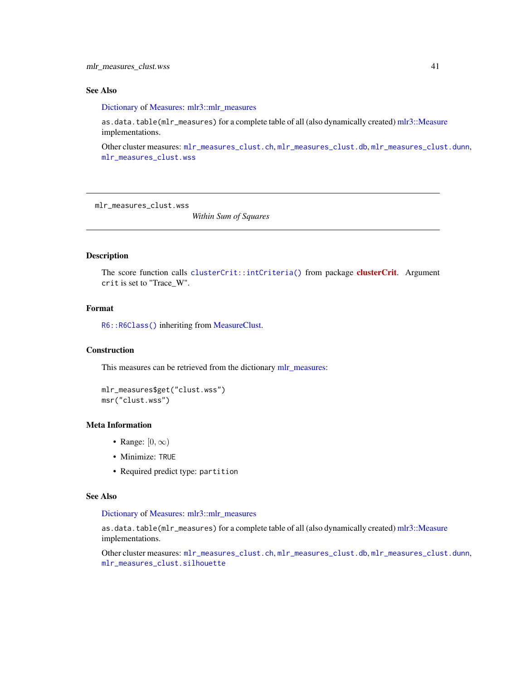# <span id="page-40-0"></span>See Also

[Dictionary](#page-0-0) of [Measures:](#page-0-0) [mlr3::mlr\\_measures](#page-0-0)

as.data.table(mlr\_measures) for a complete table of all (also dynamically created) [mlr3::Measure](#page-0-0) implementations.

Other cluster measures: [mlr\\_measures\\_clust.ch](#page-36-1), [mlr\\_measures\\_clust.db](#page-38-2), [mlr\\_measures\\_clust.dunn](#page-38-1), [mlr\\_measures\\_clust.wss](#page-40-1)

<span id="page-40-1"></span>mlr\_measures\_clust.wss

*Within Sum of Squares*

#### Description

The score function calls [clusterCrit::intCriteria\(\)](#page-0-0) from package **[clusterCrit](https://CRAN.R-project.org/package=clusterCrit)**. Argument crit is set to "Trace\_W".

# Format

[R6::R6Class\(\)](#page-0-0) inheriting from [MeasureClust.](#page-6-2)

# **Construction**

This measures can be retrieved from the dictionary [mlr\\_measures:](#page-0-0)

```
mlr_measures$get("clust.wss")
msr("clust.wss")
```
# Meta Information

- Range:  $[0, \infty)$
- Minimize: TRUE
- Required predict type: partition

# See Also

[Dictionary](#page-0-0) of [Measures:](#page-0-0) [mlr3::mlr\\_measures](#page-0-0)

as.data.table(mlr\_measures) for a complete table of all (also dynamically created) [mlr3::Measure](#page-0-0) implementations.

Other cluster measures: [mlr\\_measures\\_clust.ch](#page-36-1), [mlr\\_measures\\_clust.db](#page-38-2), [mlr\\_measures\\_clust.dunn](#page-38-1), [mlr\\_measures\\_clust.silhouette](#page-39-1)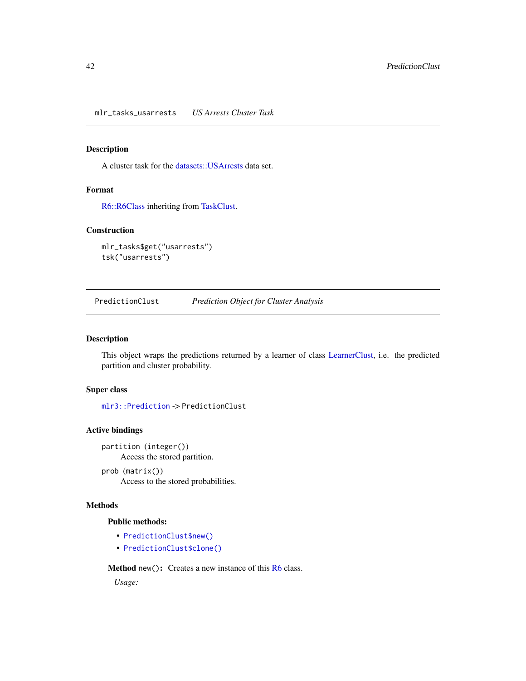<span id="page-41-0"></span>mlr\_tasks\_usarrests *US Arrests Cluster Task*

# Description

A cluster task for the [datasets::USArrests](#page-0-0) data set.

# Format

[R6::R6Class](#page-0-0) inheriting from [TaskClust.](#page-42-1)

# Construction

```
mlr_tasks$get("usarrests")
tsk("usarrests")
```
<span id="page-41-1"></span>PredictionClust *Prediction Object for Cluster Analysis*

#### Description

This object wraps the predictions returned by a learner of class [LearnerClust,](#page-4-1) i.e. the predicted partition and cluster probability.

# Super class

[mlr3::Prediction](#page-0-0) -> PredictionClust

# Active bindings

partition (integer()) Access the stored partition.

prob (matrix()) Access to the stored probabilities.

# Methods

# Public methods:

- [PredictionClust\\$new\(\)](#page-5-0)
- [PredictionClust\\$clone\(\)](#page-6-1)

Method new(): Creates a new instance of this [R6](#page-0-0) class.

*Usage:*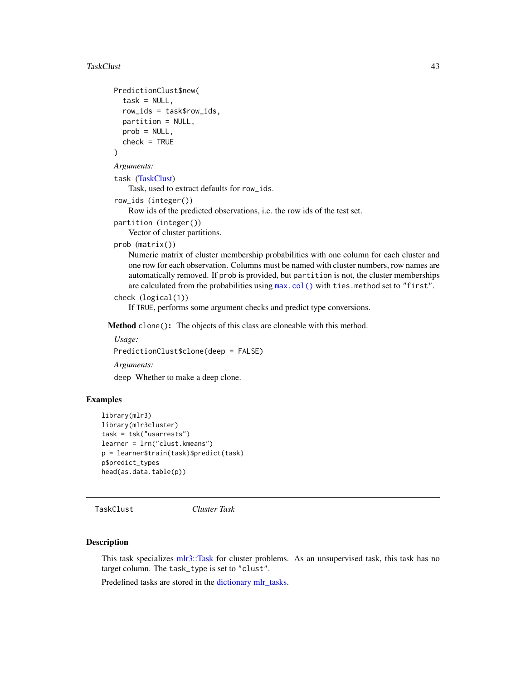#### <span id="page-42-0"></span>TaskClust 43

```
PredictionClust$new(
  task = NULL,row_ids = task$row_ids,
  partition = NULL,
  prob = NULL,
  check = TRUE
)
Arguments:
task (TaskClust)
    Task, used to extract defaults for row_ids.
row_ids (integer())
    Row ids of the predicted observations, i.e. the row ids of the test set.
partition (integer())
    Vector of cluster partitions.
prob (matrix())
    Numeric matrix of cluster membership probabilities with one column for each cluster and
```
one row for each observation. Columns must be named with cluster numbers, row names are automatically removed. If prob is provided, but partition is not, the cluster memberships are calculated from the probabilities using [max.col\(\)](#page-0-0) with ties.method set to "first".

```
check (logical(1))
```
If TRUE, performs some argument checks and predict type conversions.

Method clone(): The objects of this class are cloneable with this method.

*Usage:* PredictionClust\$clone(deep = FALSE) *Arguments:* deep Whether to make a deep clone.

# Examples

```
library(mlr3)
library(mlr3cluster)
task = tsk("usarrests")
learner = lrn("clust.kmeans")
p = learner$train(task)$predict(task)
p$predict_types
head(as.data.table(p))
```
<span id="page-42-1"></span>TaskClust *Cluster Task*

#### Description

This task specializes [mlr3::Task](#page-0-0) for cluster problems. As an unsupervised task, this task has no target column. The task\_type is set to "clust".

Predefined tasks are stored in the [dictionary](#page-0-0) [mlr\\_tasks.](#page-0-0)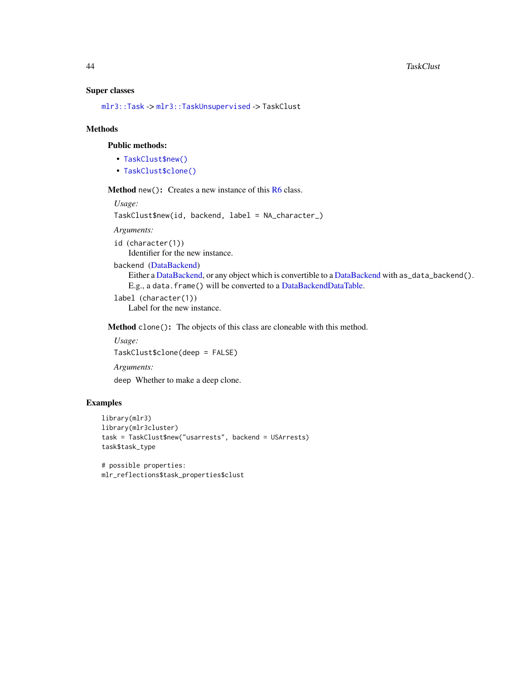#### <span id="page-43-0"></span>Super classes

[mlr3::Task](#page-0-0) -> [mlr3::TaskUnsupervised](#page-0-0) -> TaskClust

#### Methods

#### Public methods:

- [TaskClust\\$new\(\)](#page-5-0)
- [TaskClust\\$clone\(\)](#page-6-1)

**Method** new( $)$ : Creates a new instance of this  $R6$  class.

*Usage:* TaskClust\$new(id, backend, label = NA\_character\_)

*Arguments:*

id (character(1))

Identifier for the new instance.

```
backend (DataBackend)
```

```
DataBackend,DataBackend with as_data_backend().
E.g., a data.frame() will be converted to a DataBackendDataTable.
```

```
label (character(1))
   Label for the new instance.
```
Method clone(): The objects of this class are cloneable with this method.

*Usage:* TaskClust\$clone(deep = FALSE) *Arguments:*

deep Whether to make a deep clone.

# Examples

```
library(mlr3)
library(mlr3cluster)
task = TaskClust$new("usarrests", backend = USArrests)
task$task_type
```
# possible properties: mlr\_reflections\$task\_properties\$clust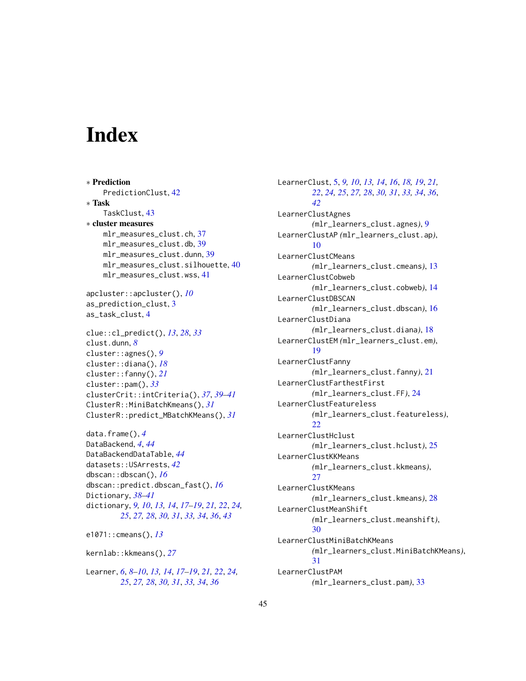# <span id="page-44-0"></span>**Index**

∗ Prediction PredictionClust, [42](#page-41-0) ∗ Task TaskClust, [43](#page-42-0) ∗ cluster measures mlr\_measures\_clust.ch, [37](#page-36-0) mlr\_measures\_clust.db, [39](#page-38-0) mlr\_measures\_clust.dunn, [39](#page-38-0) mlr\_measures\_clust.silhouette, [40](#page-39-0) mlr\_measures\_clust.wss, [41](#page-40-0) apcluster::apcluster(), *[10](#page-9-0)* as\_prediction\_clust, [3](#page-2-0) as\_task\_clust, [4](#page-3-0) clue::cl\_predict(), *[13](#page-12-0)*, *[28](#page-27-0)*, *[33](#page-32-0)* clust.dunn, *[8](#page-7-0)* cluster::agnes(), *[9](#page-8-0)*

```
cluster::diana(), 18
cluster::fanny(), 21
cluster::pam(), 33
clusterCrit::intCriteria(), 37, 39–41
31
ClusterR::predict_MBatchKMeans(), 31
```
data.frame(), *[4](#page-3-0)* DataBackend, *[4](#page-3-0)*, *[44](#page-43-0)* DataBackendDataTable, *[44](#page-43-0)* datasets::USArrests, *[42](#page-41-0)* dbscan::dbscan(), *[16](#page-15-0)* dbscan::predict.dbscan\_fast(), *[16](#page-15-0)* Dictionary, *[38](#page-37-0)[–41](#page-40-0)* dictionary, *[9,](#page-8-0) [10](#page-9-0)*, *[13,](#page-12-0) [14](#page-13-0)*, *[17–](#page-16-0)[19](#page-18-0)*, *[21,](#page-20-0) [22](#page-21-0)*, *[24,](#page-23-0) [25](#page-24-0)*, *[27,](#page-26-0) [28](#page-27-0)*, *[30,](#page-29-0) [31](#page-30-0)*, *[33,](#page-32-0) [34](#page-33-0)*, *[36](#page-35-0)*, *[43](#page-42-0)*

e1071::cmeans(), *[13](#page-12-0)*

kernlab::kkmeans(), *[27](#page-26-0)*

Learner, *[6](#page-5-2)*, *[8](#page-7-0)[–10](#page-9-0)*, *[13,](#page-12-0) [14](#page-13-0)*, *[17–](#page-16-0)[19](#page-18-0)*, *[21,](#page-20-0) [22](#page-21-0)*, *[24,](#page-23-0) [25](#page-24-0)*, *[27,](#page-26-0) [28](#page-27-0)*, *[30,](#page-29-0) [31](#page-30-0)*, *[33,](#page-32-0) [34](#page-33-0)*, *[36](#page-35-0)*

LearnerClust, [5,](#page-4-0) *[9,](#page-8-0) [10](#page-9-0)*, *[13,](#page-12-0) [14](#page-13-0)*, *[16](#page-15-0)*, *[18,](#page-17-0) [19](#page-18-0)*, *[21,](#page-20-0) [22](#page-21-0)*, *[24,](#page-23-0) [25](#page-24-0)*, *[27,](#page-26-0) [28](#page-27-0)*, *[30,](#page-29-0) [31](#page-30-0)*, *[33,](#page-32-0) [34](#page-33-0)*, *[36](#page-35-0)*, *[42](#page-41-0)* LearnerClustAgnes *(*mlr\_learners\_clust.agnes*)*, [9](#page-8-0) LearnerClustAP *(*mlr\_learners\_clust.ap*)*, [10](#page-9-0) LearnerClustCMeans *(*mlr\_learners\_clust.cmeans*)*, [13](#page-12-0) LearnerClustCobweb *(*mlr\_learners\_clust.cobweb*)*, [14](#page-13-0) LearnerClustDBSCAN *(*mlr\_learners\_clust.dbscan*)*, [16](#page-15-0) LearnerClustDiana *(*mlr\_learners\_clust.diana*)*, [18](#page-17-0) LearnerClustEM *(*mlr\_learners\_clust.em*)*, [19](#page-18-0) LearnerClustFanny *(*mlr\_learners\_clust.fanny*)*, [21](#page-20-0) LearnerClustFarthestFirst *(*mlr\_learners\_clust.FF*)*, [24](#page-23-0) LearnerClustFeatureless *(*mlr\_learners\_clust.featureless*)*, [22](#page-21-0) LearnerClustHclust *(*mlr\_learners\_clust.hclust*)*, [25](#page-24-0) LearnerClustKKMeans *(*mlr\_learners\_clust.kkmeans*)*, [27](#page-26-0) LearnerClustKMeans *(*mlr\_learners\_clust.kmeans*)*, [28](#page-27-0) LearnerClustMeanShift *(*mlr\_learners\_clust.meanshift*)*, [30](#page-29-0) LearnerClustMiniBatchKMeans *(*mlr\_learners\_clust.MiniBatchKMeans*)*, [31](#page-30-0) LearnerClustPAM *(*mlr\_learners\_clust.pam*)*, [33](#page-32-0)